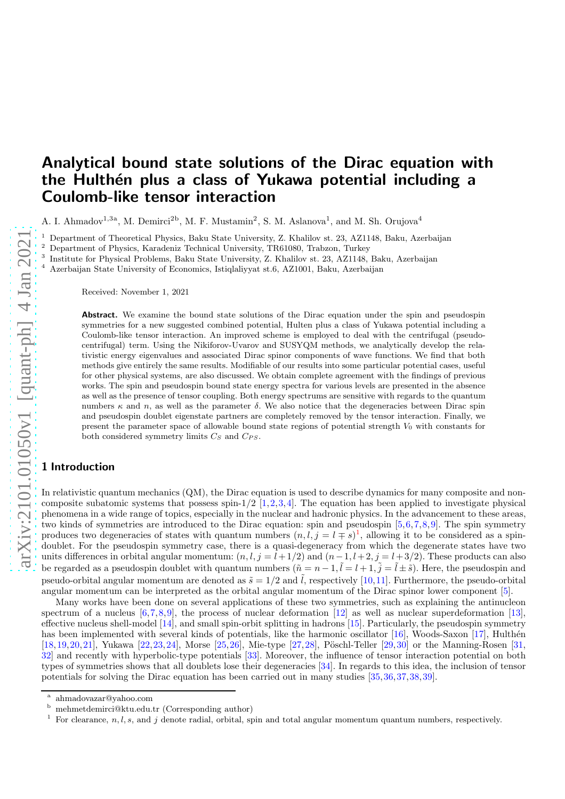# Analytical bound state solutions of the Dirac equation with the Hulthén plus a class of Yukawa potential including a Coulomb-like tensor interaction

A. I. Ahmadov<sup>1,3a</sup>, M. Demirci<sup>2b</sup>, M. F. Mustamin<sup>2</sup>, S. M. Aslanova<sup>1</sup>, and M. Sh. Orujova<sup>4</sup>

<sup>1</sup> Department of Theoretical Physics, Baku State University, Z. Khalilov st. 23, AZ1148, Baku, Azerbaijan  $\frac{2}{5}$  Department of Physics, *Kandyin* Technical University, TRC1090, Technics, Technics

<sup>2</sup> Department of Physics, Karadeniz Technical University, TR61080, Trabzon, Turkey

3 Institute for Physical Problems, Baku State University, Z. Khalilov st. 23, AZ1148, Baku, Azerbaijan

<sup>4</sup> Azerbaijan State University of Economics, Istiqlaliyyat st.6, AZ1001, Baku, Azerbaijan

Received: November 1, 2021

Abstract. We examine the bound state solutions of the Dirac equation under the spin and pseudospin symmetries for a new suggested combined potential, Hulten plus a class of Yukawa potential including a Coulomb-like tensor interaction. An improved scheme is employed to deal with the centrifugal (pseudocentrifugal) term. Using the Nikiforov-Uvarov and SUSYQM methods, we analytically develop the relativistic energy eigenvalues and associated Dirac spinor components of wave functions. We find that both methods give entirely the same results. Modifiable of our results into some particular potential cases, useful for other physical systems, are also discussed. We obtain complete agreement with the findings of previous works. The spin and pseudospin bound state energy spectra for various levels are presented in the absence as well as the presence of tensor coupling. Both energy spectrums are sensitive with regards to the quantum numbers  $\kappa$  and n, as well as the parameter  $\delta$ . We also notice that the degeneracies between Dirac spin and pseudospin doublet eigenstate partners are completely removed by the tensor interaction. Finally, we present the parameter space of allowable bound state regions of potential strength  $V_0$  with constants for both considered symmetry limits  $C_S$  and  $C_{PS}$ .

# 1 Introduction

In relativistic quantum mechanics (QM), the Dirac equation is used to describe dynamics for many composite and noncomposite subatomic systems that possess spin- $1/2$  [\[1,](#page-20-0)[2,](#page-20-1)[3,](#page-20-2)[4\]](#page-20-3). The equation has been applied to investigate physical phenomena in a wide range of topics, especially in the nuclear and hadronic physics. In the advancement to these areas, two kinds of symmetries are introduced to the Dirac equation: spin and pseudospin [\[5,](#page-20-4)[6,](#page-20-5)[7,](#page-20-6)[8,](#page-20-7)[9\]](#page-20-8). The spin symmetry produces two degeneracies of states with quantum numbers  $(n, l, j = l \mp s)^{1}$  $(n, l, j = l \mp s)^{1}$  $(n, l, j = l \mp s)^{1}$ , allowing it to be considered as a spindoublet. For the pseudospin symmetry case, there is a quasi-degeneracy from which the degenerate states have two units differences in orbital angular momentum:  $(n, l, j = l + 1/2)$  and  $(n-1, l+2, j = l+3/2)$ . These products can also be regarded as a pseudospin doublet with quantum numbers  $(\tilde{n} = n - 1, \tilde{l} = l + 1, \tilde{j} = \tilde{l} \pm \tilde{s})$ . Here, the pseudospin and pseudo-orbital angular momentum are denoted as  $\tilde{s} = 1/2$  and  $\tilde{l}$ , respectively [\[10,](#page-20-9)[11\]](#page-20-10). Furthermore, the pseudo-orbital angular momentum can be interpreted as the orbital angular momentum of the Dirac spinor lower component [\[5\]](#page-20-4).

Many works have been done on several applications of these two symmetries, such as explaining the antinucleon spectrum of a nucleus  $[6,7,8,9]$  $[6,7,8,9]$  $[6,7,8,9]$  $[6,7,8,9]$ , the process of nuclear deformation  $[12]$  as well as nuclear superdeformation  $[13]$ , effective nucleus shell-model [\[14\]](#page-20-13), and small spin-orbit splitting in hadrons [\[15\]](#page-20-14). Particularly, the pseudospin symmetry has been implemented with several kinds of potentials, like the harmonic oscillator [\[16\]](#page-20-15), Woods-Saxon [\[17\]](#page-20-16), Hulthén [\[18,](#page-20-17)[19,](#page-20-18)[20,](#page-20-19)[21\]](#page-20-20), Yukawa [\[22,](#page-20-21)[23,](#page-20-22)[24\]](#page-20-23), Morse [\[25,](#page-20-24)[26\]](#page-20-25), Mie-type [\[27,](#page-20-26)[28\]](#page-20-27), Pöschl-Teller [\[29,](#page-20-28)[30\]](#page-20-29) or the Manning-Rosen [\[31,](#page-20-30) [32\]](#page-20-31) and recently with hyperbolic-type potentials [\[33\]](#page-20-32). Moreover, the influence of tensor interaction potential on both types of symmetries shows that all doublets lose their degeneracies [\[34\]](#page-20-33). In regards to this idea, the inclusion of tensor potentials for solving the Dirac equation has been carried out in many studies [\[35,](#page-20-34)[36,](#page-20-35)[37,](#page-20-36)[38,](#page-20-37)[39\]](#page-20-38).

a ahmadovazar@yahoo.com

<sup>b</sup> mehmetdemirci@ktu.edu.tr (Corresponding author)

<span id="page-0-0"></span>For clearance, n, l, s, and j denote radial, orbital, spin and total angular momentum quantum numbers, respectively.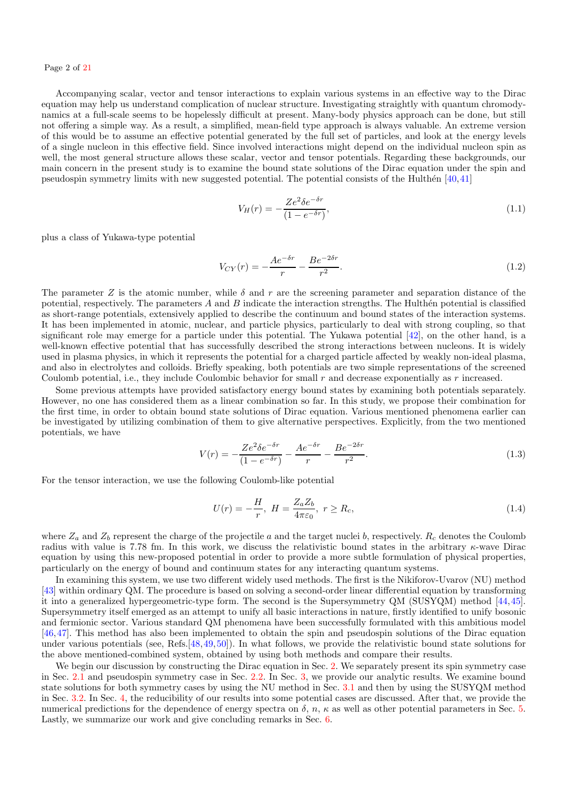Accompanying scalar, vector and tensor interactions to explain various systems in an effective way to the Dirac equation may help us understand complication of nuclear structure. Investigating straightly with quantum chromodynamics at a full-scale seems to be hopelessly difficult at present. Many-body physics approach can be done, but still not offering a simple way. As a result, a simplified, mean-field type approach is always valuable. An extreme version of this would be to assume an effective potential generated by the full set of particles, and look at the energy levels of a single nucleon in this effective field. Since involved interactions might depend on the individual nucleon spin as well, the most general structure allows these scalar, vector and tensor potentials. Regarding these backgrounds, our main concern in the present study is to examine the bound state solutions of the Dirac equation under the spin and pseudospin symmetry limits with new suggested potential. The potential consists of the Hulthén  $[40,41]$  $[40,41]$ 

$$
V_H(r) = -\frac{Ze^2\delta e^{-\delta r}}{(1 - e^{-\delta r})},\tag{1.1}
$$

plus a class of Yukawa-type potential

$$
V_{CY}(r) = -\frac{Ae^{-\delta r}}{r} - \frac{Be^{-2\delta r}}{r^2}.
$$
\n(1.2)

The parameter Z is the atomic number, while  $\delta$  and r are the screening parameter and separation distance of the potential, respectively. The parameters  $A$  and  $B$  indicate the interaction strengths. The Hulthén potential is classified as short-range potentials, extensively applied to describe the continuum and bound states of the interaction systems. It has been implemented in atomic, nuclear, and particle physics, particularly to deal with strong coupling, so that significant role may emerge for a particle under this potential. The Yukawa potential [\[42\]](#page-20-42), on the other hand, is a well-known effective potential that has successfully described the strong interactions between nucleons. It is widely used in plasma physics, in which it represents the potential for a charged particle affected by weakly non-ideal plasma, and also in electrolytes and colloids. Briefly speaking, both potentials are two simple representations of the screened Coulomb potential, i.e., they include Coulombic behavior for small  $r$  and decrease exponentially as  $r$  increased.

Some previous attempts have provided satisfactory energy bound states by examining both potentials separately. However, no one has considered them as a linear combination so far. In this study, we propose their combination for the first time, in order to obtain bound state solutions of Dirac equation. Various mentioned phenomena earlier can be investigated by utilizing combination of them to give alternative perspectives. Explicitly, from the two mentioned potentials, we have

<span id="page-1-0"></span>
$$
V(r) = -\frac{Ze^2\delta e^{-\delta r}}{(1 - e^{-\delta r})} - \frac{Ae^{-\delta r}}{r} - \frac{Be^{-2\delta r}}{r^2}.
$$
\n(1.3)

For the tensor interaction, we use the following Coulomb-like potential

<span id="page-1-1"></span>
$$
U(r) = -\frac{H}{r}, \ H = \frac{Z_a Z_b}{4\pi\varepsilon_0}, \ r \ge R_c,
$$
\n(1.4)

where  $Z_a$  and  $Z_b$  represent the charge of the projectile a and the target nuclei b, respectively.  $R_c$  denotes the Coulomb radius with value is 7.78 fm. In this work, we discuss the relativistic bound states in the arbitrary  $\kappa$ -wave Dirac equation by using this new-proposed potential in order to provide a more subtle formulation of physical properties, particularly on the energy of bound and continuum states for any interacting quantum systems.

In examining this system, we use two different widely used methods. The first is the Nikiforov-Uvarov (NU) method [\[43\]](#page-20-43) within ordinary QM. The procedure is based on solving a second-order linear differential equation by transforming it into a generalized hypergeometric-type form. The second is the Supersymmetry QM (SUSYQM) method [\[44,](#page-20-44)[45\]](#page-20-45). Supersymmetry itself emerged as an attempt to unify all basic interactions in nature, firstly identified to unify bosonic and fermionic sector. Various standard QM phenomena have been successfully formulated with this ambitious model [\[46,](#page-20-46)[47\]](#page-20-47). This method has also been implemented to obtain the spin and pseudospin solutions of the Dirac equation under various potentials (see, Refs.[\[48,](#page-20-48)[49,](#page-20-49)[50\]](#page-20-50)). In what follows, we provide the relativistic bound state solutions for the above mentioned-combined system, obtained by using both methods and compare their results.

We begin our discussion by constructing the Dirac equation in Sec. [2.](#page-2-0) We separately present its spin symmetry case in Sec. [2.1](#page-3-0) and pseudospin symmetry case in Sec. [2.2.](#page-3-1) In Sec. [3,](#page-3-2) we provide our analytic results. We examine bound state solutions for both symmetry cases by using the NU method in Sec. [3.1](#page-4-0) and then by using the SUSYQM method in Sec. [3.2.](#page-9-0) In Sec. [4,](#page-13-0) the reducibility of our results into some potential cases are discussed. After that, we provide the numerical predictions for the dependence of energy spectra on  $\delta$ , n,  $\kappa$  as well as other potential parameters in Sec. [5.](#page-15-0) Lastly, we summarize our work and give concluding remarks in Sec. [6.](#page-18-0)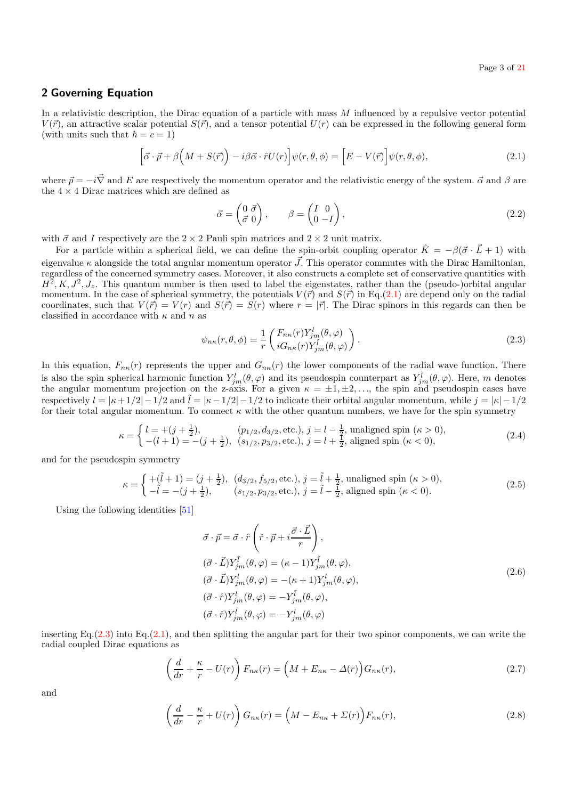## <span id="page-2-0"></span>2 Governing Equation

In a relativistic description, the Dirac equation of a particle with mass  $M$  influenced by a repulsive vector potential  $V(\vec{r})$ , an attractive scalar potential  $S(\vec{r})$ , and a tensor potential  $U(r)$  can be expressed in the following general form (with units such that  $\hbar = c = 1$ )

<span id="page-2-1"></span>
$$
\left[\vec{\alpha}\cdot\vec{p}+\beta\left(M+S(\vec{r})\right)-i\beta\vec{\alpha}\cdot\hat{r}U(r)\right]\psi(r,\theta,\phi) = \left[E-V(\vec{r})\right]\psi(r,\theta,\phi),\tag{2.1}
$$

where  $\vec{p} = -i\vec{\nabla}$  and E are respectively the momentum operator and the relativistic energy of the system.  $\vec{\alpha}$  and  $\beta$  are the  $4 \times 4$  Dirac matrices which are defined as

$$
\vec{\alpha} = \begin{pmatrix} 0 & \vec{\sigma} \\ \vec{\sigma} & 0 \end{pmatrix}, \qquad \beta = \begin{pmatrix} I & 0 \\ 0 & -I \end{pmatrix}, \tag{2.2}
$$

with  $\vec{\sigma}$  and I respectively are the 2 × 2 Pauli spin matrices and 2 × 2 unit matrix.

For a particle within a spherical field, we can define the spin-orbit coupling operator  $\hat{K} = -\beta(\vec{\sigma} \cdot \vec{L} + 1)$  with eigenvalue  $\kappa$  alongside the total angular momentum operator  $\vec{J}$ . This operator commutes with the Dirac Hamiltonian, regardless of the concerned symmetry cases. Moreover, it also constructs a complete set of conservative quantities with  $H^2, K, J^2, J_z$ . This quantum number is then used to label the eigenstates, rather than the (pseudo-)orbital angular momentum. In the case of spherical symmetry, the potentials  $V(\vec{r})$  and  $S(\vec{r})$  in Eq.[\(2.1\)](#page-2-1) are depend only on the radial coordinates, such that  $V(\vec{r}) = V(r)$  and  $S(\vec{r}) = S(r)$  where  $r = |\vec{r}|$ . The Dirac spinors in this regards can then be classified in accordance with  $\kappa$  and  $n$  as

<span id="page-2-2"></span>
$$
\psi_{n\kappa}(r,\theta,\phi) = \frac{1}{r} \begin{pmatrix} F_{n\kappa}(r) Y_{jm}^{l}(\theta,\varphi) \\ iG_{n\kappa}(r) Y_{jm}^{l}(\theta,\varphi) \end{pmatrix} . \tag{2.3}
$$

In this equation,  $F_{n\kappa}(r)$  represents the upper and  $G_{n\kappa}(r)$  the lower components of the radial wave function. There is also the spin spherical harmonic function  $Y_{jm}^l(\theta,\varphi)$  and its pseudospin counterpart as  $Y_{jm}^l(\theta,\varphi)$ . Here, m denotes the angular momentum projection on the z-axis. For a given  $\kappa = \pm 1, \pm 2, \ldots$ , the spin and pseudospin cases have respectively  $l = |\kappa + 1/2| - 1/2$  and  $\tilde{l} = |\kappa - 1/2| - 1/2$  to indicate their orbital angular momentum, while  $j = |\kappa| - 1/2$ for their total angular momentum. To connect  $\kappa$  with the other quantum numbers, we have for the spin symmetry

$$
\kappa = \begin{cases} l = +(j + \frac{1}{2}), & (p_{1/2}, d_{3/2}, \text{etc.}), j = l - \frac{1}{2}, \text{unaligned spin } (\kappa > 0), \\ -(l + 1) = -(j + \frac{1}{2}), & (s_{1/2}, p_{3/2}, \text{etc.}), j = l + \frac{1}{2}, \text{aligned spin } (\kappa < 0), \end{cases}
$$
(2.4)

and for the pseudospin symmetry

$$
\kappa = \begin{cases}\n+(\tilde{l} + 1) = (j + \frac{1}{2}), & (d_{3/2}, f_{5/2}, \text{etc.}), j = \tilde{l} + \frac{1}{2}, \text{ unaligned spin } (\kappa > 0), \\
-\tilde{l} = -(j + \frac{1}{2}), & (s_{1/2}, p_{3/2}, \text{etc.}), j = \tilde{l} - \frac{1}{2}, \text{aligned spin } (\kappa < 0).\n\end{cases}
$$
\n(2.5)

Using the following identities [\[51\]](#page-20-51)

$$
\vec{\sigma} \cdot \vec{p} = \vec{\sigma} \cdot \hat{r} \left( \hat{r} \cdot \vec{p} + i \frac{\vec{\sigma} \cdot \vec{L}}{r} \right),
$$
  
\n
$$
(\vec{\sigma} \cdot \vec{L}) Y_{jm}^{\tilde{l}}(\theta, \varphi) = (\kappa - 1) Y_{jm}^{\tilde{l}}(\theta, \varphi),
$$
  
\n
$$
(\vec{\sigma} \cdot \vec{L}) Y_{jm}^{l}(\theta, \varphi) = -(\kappa + 1) Y_{jm}^{l}(\theta, \varphi),
$$
  
\n
$$
(\vec{\sigma} \cdot \hat{r}) Y_{jm}^{l}(\theta, \varphi) = -Y_{jm}^{\tilde{l}}(\theta, \varphi),
$$
  
\n
$$
(\vec{\sigma} \cdot \hat{r}) Y_{jm}^{\tilde{l}}(\theta, \varphi) = -Y_{jm}^{l}(\theta, \varphi),
$$
  
\n
$$
(\vec{\sigma} \cdot \hat{r}) Y_{jm}^{\tilde{l}}(\theta, \varphi) = -Y_{jm}^{l}(\theta, \varphi)
$$
  
\n(2.6)

inserting Eq. $(2.3)$  into Eq. $(2.1)$ , and then splitting the angular part for their two spinor components, we can write the radial coupled Dirac equations as

<span id="page-2-3"></span>
$$
\left(\frac{d}{dr} + \frac{\kappa}{r} - U(r)\right) F_{n\kappa}(r) = \left(M + E_{n\kappa} - \Delta(r)\right) G_{n\kappa}(r),\tag{2.7}
$$

and

<span id="page-2-4"></span>
$$
\left(\frac{d}{dr} - \frac{\kappa}{r} + U(r)\right) G_{n\kappa}(r) = \left(M - E_{n\kappa} + \Sigma(r)\right) F_{n\kappa}(r),\tag{2.8}
$$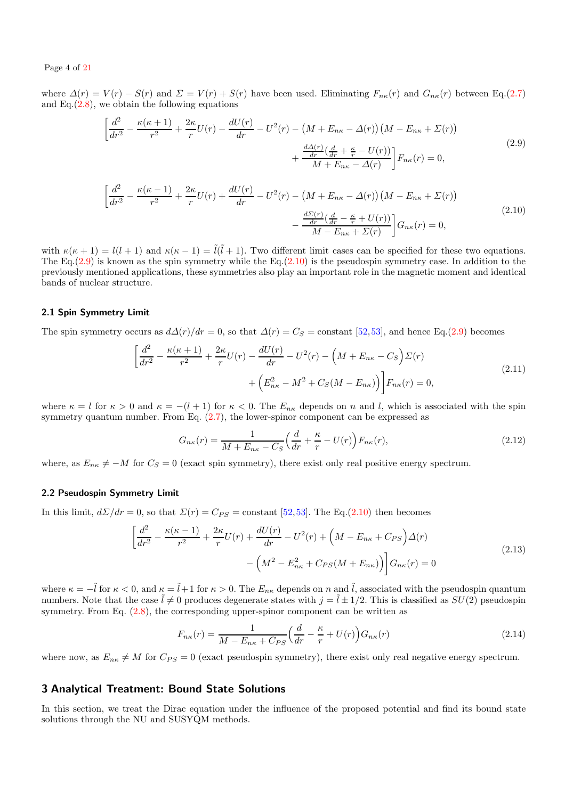Page 4 of [21](#page-20-39)

where  $\Delta(r) = V(r) - S(r)$  and  $\Sigma = V(r) + S(r)$  have been used. Eliminating  $F_{n\kappa}(r)$  and  $G_{n\kappa}(r)$  between Eq.[\(2.7\)](#page-2-3) and  $Eq.(2.8)$  $Eq.(2.8)$ , we obtain the following equations

<span id="page-3-3"></span>
$$
\left[\frac{d^2}{dr^2} - \frac{\kappa(\kappa+1)}{r^2} + \frac{2\kappa}{r}U(r) - \frac{dU(r)}{dr} - U^2(r) - \left(M + E_{n\kappa} - \Delta(r)\right)\left(M - E_{n\kappa} + \Sigma(r)\right) \right. \\
\left. + \frac{\frac{d\Delta(r)}{dr}\left(\frac{d}{dr} + \frac{\kappa}{r} - U(r)\right)}{M + E_{n\kappa} - \Delta(r)}\right]F_{n\kappa}(r) = 0,
$$
\n(2.9)

<span id="page-3-4"></span>
$$
\left[\frac{d^2}{dr^2} - \frac{\kappa(\kappa - 1)}{r^2} + \frac{2\kappa}{r}U(r) + \frac{dU(r)}{dr} - U^2(r) - \left(M + E_{n\kappa} - \Delta(r)\right)\left(M - E_{n\kappa} + \Sigma(r)\right) - \frac{\frac{d\Sigma(r)}{dr}\left(\frac{d}{dr} - \frac{\kappa}{r} + U(r)\right)}{M - E_{n\kappa} + \Sigma(r)}\right]G_{n\kappa}(r) = 0,
$$
\n(2.10)

with  $\kappa(\kappa + 1) = l(l + 1)$  and  $\kappa(\kappa - 1) = \tilde{l}(\tilde{l} + 1)$ . Two different limit cases can be specified for these two equations. The Eq. $(2.9)$  is known as the spin symmetry while the Eq. $(2.10)$  is the pseudospin symmetry case. In addition to the previously mentioned applications, these symmetries also play an important role in the magnetic moment and identical bands of nuclear structure.

### <span id="page-3-0"></span>2.1 Spin Symmetry Limit

The spin symmetry occurs as  $d\Delta(r)/dr = 0$ , so that  $\Delta(r) = C_S = \text{constant}$  [\[52,](#page-20-52)[53\]](#page-20-53), and hence Eq.[\(2.9\)](#page-3-3) becomes

$$
\left[\frac{d^2}{dr^2} - \frac{\kappa(\kappa + 1)}{r^2} + \frac{2\kappa}{r}U(r) - \frac{dU(r)}{dr} - U^2(r) - \left(M + E_{n\kappa} - C_S\right)\Sigma(r) + \left(E_{n\kappa}^2 - M^2 + C_S(M - E_{n\kappa})\right)\right]F_{n\kappa}(r) = 0,
$$
\n(2.11)

<span id="page-3-5"></span>where  $\kappa = l$  for  $\kappa > 0$  and  $\kappa = -(l + 1)$  for  $\kappa < 0$ . The  $E_{n\kappa}$  depends on n and l, which is associated with the spin symmetry quantum number. From Eq.  $(2.7)$ , the lower-spinor component can be expressed as

$$
G_{n\kappa}(r) = \frac{1}{M + E_{n\kappa} - C_S} \left(\frac{d}{dr} + \frac{\kappa}{r} - U(r)\right) F_{n\kappa}(r),\tag{2.12}
$$

<span id="page-3-6"></span>where, as  $E_{n\kappa} \neq -M$  for  $C_S = 0$  (exact spin symmetry), there exist only real positive energy spectrum.

## <span id="page-3-1"></span>2.2 Pseudospin Symmetry Limit

In this limit,  $d\Sigma/dr = 0$ , so that  $\Sigma(r) = C_{PS} = \text{constant}$  [\[52,](#page-20-52)[53\]](#page-20-53). The Eq.[\(2.10\)](#page-3-4) then becomes

$$
\left[\frac{d^2}{dr^2} - \frac{\kappa(\kappa - 1)}{r^2} + \frac{2\kappa}{r}U(r) + \frac{dU(r)}{dr} - U^2(r) + \left(M - E_{n\kappa} + C_{PS}\right)\Delta(r) - \left(M^2 - E_{n\kappa}^2 + C_{PS}(M + E_{n\kappa})\right)\right]G_{n\kappa}(r) = 0
$$
\n(2.13)

<span id="page-3-7"></span>where  $\kappa = -\tilde{l}$  for  $\kappa < 0$ , and  $\kappa = \tilde{l}+1$  for  $\kappa > 0$ . The  $E_{n\kappa}$  depends on n and  $\tilde{l}$ , associated with the pseudospin quantum numbers. Note that the case  $\tilde{l} \neq 0$  produces degenerate states with  $j = \tilde{l} \pm 1/2$ . This is classified as  $SU(2)$  pseudospin symmetry. From Eq. [\(2.8\)](#page-2-4), the corresponding upper-spinor component can be written as

$$
F_{n\kappa}(r) = \frac{1}{M - E_{n\kappa} + C_{PS}} \left(\frac{d}{dr} - \frac{\kappa}{r} + U(r)\right) G_{n\kappa}(r) \tag{2.14}
$$

<span id="page-3-8"></span>where now, as  $E_{n\kappa} \neq M$  for  $C_{PS} = 0$  (exact pseudospin symmetry), there exist only real negative energy spectrum.

# <span id="page-3-2"></span>3 Analytical Treatment: Bound State Solutions

In this section, we treat the Dirac equation under the influence of the proposed potential and find its bound state solutions through the NU and SUSYQM methods.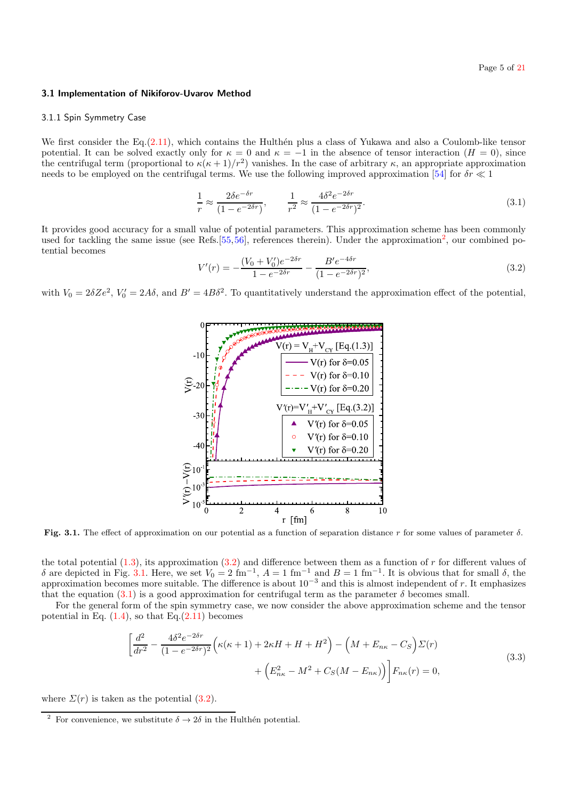#### <span id="page-4-0"></span>3.1 Implementation of Nikiforov-Uvarov Method

#### 3.1.1 Spin Symmetry Case

We first consider the Eq. $(2.11)$ , which contains the Hulthen plus a class of Yukawa and also a Coulomb-like tensor potential. It can be solved exactly only for  $\kappa = 0$  and  $\kappa = -1$  in the absence of tensor interaction ( $H = 0$ ), since the centrifugal term (proportional to  $\kappa(\kappa+1)/r^2$ ) vanishes. In the case of arbitrary  $\kappa$ , an appropriate approximation needs to be employed on the centrifugal terms. We use the following improved approximation [\[54\]](#page-20-54) for  $\delta r \ll 1$ 

<span id="page-4-3"></span>
$$
\frac{1}{r} \approx \frac{2\delta e^{-\delta r}}{(1 - e^{-2\delta r})}, \qquad \frac{1}{r^2} \approx \frac{4\delta^2 e^{-2\delta r}}{(1 - e^{-2\delta r})^2}.
$$
\n
$$
(3.1)
$$

It provides good accuracy for a small value of potential parameters. This approximation scheme has been commonly used for tackling the same issue (see Refs.  $[55, 56]$  $[55, 56]$  $[55, 56]$ , references therein). Under the approximation<sup>[2](#page-4-1)</sup>, our combined potential becomes

<span id="page-4-2"></span>
$$
V'(r) = -\frac{(V_0 + V'_0)e^{-2\delta r}}{1 - e^{-2\delta r}} - \frac{B'e^{-4\delta r}}{(1 - e^{-2\delta r})^2},
$$
\n(3.2)

with  $V_0 = 2\delta Ze^2$ ,  $V'_0 = 2A\delta$ , and  $B' = 4B\delta^2$ . To quantitatively understand the approximation effect of the potential,



Fig. 3.1. The effect of approximation on our potential as a function of separation distance r for some values of parameter  $\delta$ .

the total potential  $(1.3)$ , its approximation  $(3.2)$  and difference between them as a function of r for different values of δ are depicted in Fig. [3.1.](#page-17-0) Here, we set  $V_0 = 2 \text{ fm}^{-1}$ ,  $A = 1 \text{ fm}^{-1}$  and  $B = 1 \text{ fm}^{-1}$ . It is obvious that for small δ, the approximation becomes more suitable. The difference is about  $10^{-3}$  and this is almost independent of r. It emphasizes that the equation [\(3.1\)](#page-4-3) is a good approximation for centrifugal term as the parameter  $\delta$  becomes small.

For the general form of the spin symmetry case, we now consider the above approximation scheme and the tensor potential in Eq.  $(1.4)$ , so that Eq. $(2.11)$  becomes

$$
\left[\frac{d^2}{dr^2} - \frac{4\delta^2 e^{-2\delta r}}{(1 - e^{-2\delta r})^2} \left(\kappa(\kappa + 1) + 2\kappa H + H + H^2\right) - \left(M + E_{n\kappa} - C_S\right) \Sigma(r) + \left(E_{n\kappa}^2 - M^2 + C_S(M - E_{n\kappa})\right) \right] F_{n\kappa}(r) = 0,
$$
\n(3.3)

<span id="page-4-4"></span>where  $\Sigma(r)$  is taken as the potential [\(3.2\)](#page-4-2).

<span id="page-4-1"></span><sup>&</sup>lt;sup>2</sup> For convenience, we substitute  $\delta \rightarrow 2\delta$  in the Hulthén potential.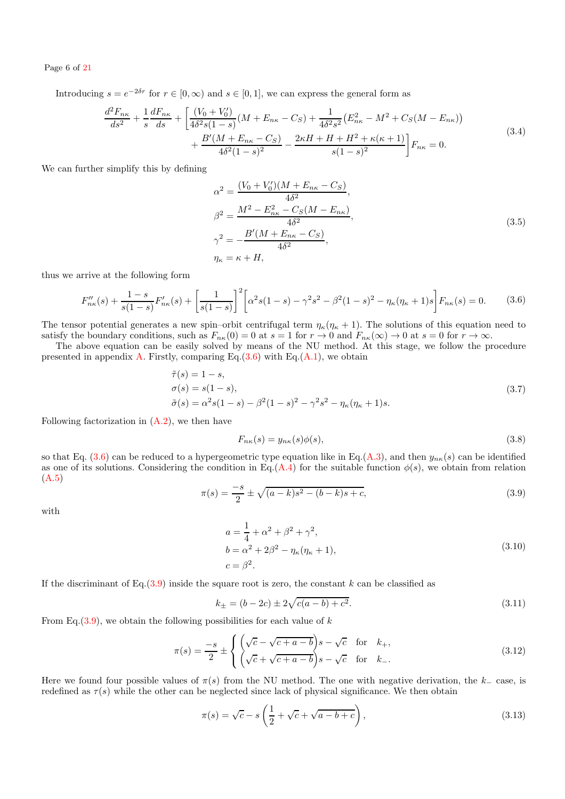## Page 6 of [21](#page-20-39)

Introducing  $s = e^{-2\delta r}$  for  $r \in [0, \infty)$  and  $s \in [0, 1]$ , we can express the general form as

$$
\frac{d^2F_{n\kappa}}{ds^2} + \frac{1}{s}\frac{dF_{n\kappa}}{ds} + \left[\frac{(V_0 + V'_0)}{4\delta^2 s (1 - s)}(M + E_{n\kappa} - C_S) + \frac{1}{4\delta^2 s^2} (E_{n\kappa}^2 - M^2 + C_S(M - E_{n\kappa})) + \frac{B'(M + E_{n\kappa} - C_S)}{4\delta^2 (1 - s)^2} - \frac{2\kappa H + H + H^2 + \kappa(\kappa + 1)}{s(1 - s)^2} \right] F_{n\kappa} = 0.
$$
\n(3.4)

We can further simplify this by defining

$$
\alpha^2 = \frac{(V_0 + V'_0)(M + E_{n\kappa} - C_S)}{4\delta^2},
$$
  
\n
$$
\beta^2 = \frac{M^2 - E_{n\kappa}^2 - C_S(M - E_{n\kappa})}{4\delta^2},
$$
  
\n
$$
\gamma^2 = -\frac{B'(M + E_{n\kappa} - C_S)}{4\delta^2},
$$
  
\n
$$
\eta_{\kappa} = \kappa + H,
$$
\n(3.5)

<span id="page-5-5"></span><span id="page-5-0"></span>thus we arrive at the following form

$$
F_{n\kappa}''(s) + \frac{1-s}{s(1-s)}F_{n\kappa}'(s) + \left[\frac{1}{s(1-s)}\right]^2 \left[\alpha^2 s(1-s) - \gamma^2 s^2 - \beta^2 (1-s)^2 - \eta_{\kappa} (\eta_{\kappa} + 1)s\right] F_{n\kappa}(s) = 0. \tag{3.6}
$$

The tensor potential generates a new spin–orbit centrifugal term  $\eta_{\kappa}(\eta_{\kappa}+1)$ . The solutions of this equation need to satisfy the boundary conditions, such as  $F_{n\kappa}(0) = 0$  at  $s = 1$  for  $r \to 0$  and  $F_{n\kappa}(\infty) \to 0$  at  $s = 0$  for  $r \to \infty$ .

The above equation can be easily solved by means of the NU method. At this stage, we follow the procedure presented in appendix [A.](#page-19-0) Firstly, comparing Eq. $(3.6)$  with Eq. $(A.1)$ , we obtain

<span id="page-5-3"></span>
$$
\begin{aligned}\n\tilde{\tau}(s) &= 1 - s, \\
\sigma(s) &= s(1 - s), \\
\tilde{\sigma}(s) &= \alpha^2 s (1 - s) - \beta^2 (1 - s)^2 - \gamma^2 s^2 - \eta_{\kappa} (\eta_{\kappa} + 1) s.\n\end{aligned}
$$
\n(3.7)

Following factorization in  $(A.2)$ , we then have

<span id="page-5-2"></span>
$$
F_{n\kappa}(s) = y_{n\kappa}(s)\phi(s),\tag{3.8}
$$

so that Eq.  $(3.6)$  can be reduced to a hypergeometric type equation like in Eq.[\(A.3\)](#page-19-3), and then  $y_{n\kappa}(s)$  can be identified as one of its solutions. Considering the condition in Eq.[\(A.4\)](#page-19-4) for the suitable function  $\phi(s)$ , we obtain from relation [\(A.5\)](#page-19-5)

<span id="page-5-1"></span>
$$
\pi(s) = \frac{-s}{2} \pm \sqrt{(a-k)s^2 - (b-k)s + c},\tag{3.9}
$$

with

$$
a = \frac{1}{4} + \alpha^2 + \beta^2 + \gamma^2,
$$
  
\n
$$
b = \alpha^2 + 2\beta^2 - \eta_{\kappa}(\eta_{\kappa} + 1),
$$
  
\n
$$
c = \beta^2.
$$
\n(3.10)

If the discriminant of Eq.[\(3.9\)](#page-5-1) inside the square root is zero, the constant k can be classified as

<span id="page-5-4"></span>
$$
k_{\pm} = (b - 2c) \pm 2\sqrt{c(a - b) + c^2}.
$$
\n(3.11)

From Eq.  $(3.9)$ , we obtain the following possibilities for each value of k

$$
\pi(s) = \frac{-s}{2} \pm \begin{cases} \left(\sqrt{c} - \sqrt{c+a-b}\right)s - \sqrt{c} & \text{for } k_+, \\ \left(\sqrt{c} + \sqrt{c+a-b}\right)s - \sqrt{c} & \text{for } k_-. \end{cases}
$$
\n(3.12)

Here we found four possible values of  $\pi(s)$  from the NU method. The one with negative derivation, the k<sub>−</sub> case, is redefined as  $\tau(s)$  while the other can be neglected since lack of physical significance. We then obtain

$$
\pi(s) = \sqrt{c} - s \left(\frac{1}{2} + \sqrt{c} + \sqrt{a - b + c}\right),\tag{3.13}
$$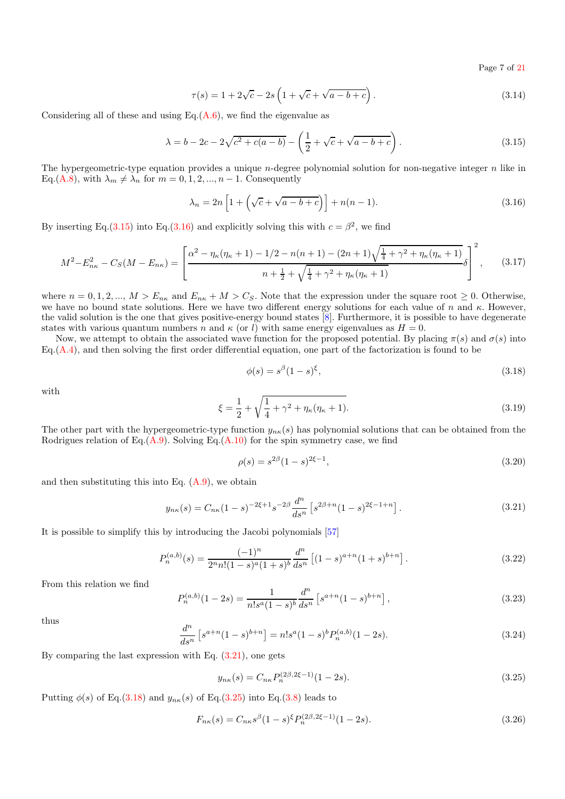Page 7 of [21](#page-20-39)

$$
\tau(s) = 1 + 2\sqrt{c} - 2s \left( 1 + \sqrt{c} + \sqrt{a - b + c} \right). \tag{3.14}
$$

Considering all of these and using Eq. $(A.6)$ , we find the eigenvalue as

$$
\lambda = b - 2c - 2\sqrt{c^2 + c(a - b)} - \left(\frac{1}{2} + \sqrt{c} + \sqrt{a - b + c}\right). \tag{3.15}
$$

<span id="page-6-0"></span>The hypergeometric-type equation provides a unique  $n$ -degree polynomial solution for non-negative integer  $n$  like in Eq.[\(A.8\)](#page-19-7), with  $\lambda_m \neq \lambda_n$  for  $m = 0, 1, 2, ..., n - 1$ . Consequently

$$
\lambda_n = 2n \left[ 1 + \left( \sqrt{c} + \sqrt{a - b + c} \right) \right] + n(n - 1). \tag{3.16}
$$

<span id="page-6-1"></span>By inserting Eq.[\(3.15\)](#page-6-0) into Eq.[\(3.16\)](#page-6-1) and explicitly solving this with  $c = \beta^2$ , we find

<span id="page-6-5"></span>
$$
M^{2}-E_{n\kappa}^{2}-C_{S}(M-E_{n\kappa})=\left[\frac{\alpha^{2}-\eta_{\kappa}(\eta_{\kappa}+1)-1/2-n(n+1)-(2n+1)\sqrt{\frac{1}{4}+\gamma^{2}+\eta_{\kappa}(\eta_{\kappa}+1)}}{n+\frac{1}{2}+\sqrt{\frac{1}{4}+\gamma^{2}+\eta_{\kappa}(\eta_{\kappa}+1)}}\delta\right]^{2},\qquad(3.17)
$$

where  $n = 0, 1, 2, ..., M > E_{nk}$  and  $E_{nk} + M > C_S$ . Note that the expression under the square root  $\geq 0$ . Otherwise, we have no bound state solutions. Here we have two different energy solutions for each value of n and  $\kappa$ . However, the valid solution is the one that gives positive-energy bound states  $[8]$ . Furthermore, it is possible to have degenerate states with various quantum numbers n and  $\kappa$  (or l) with same energy eigenvalues as  $H = 0$ .

Now, we attempt to obtain the associated wave function for the proposed potential. By placing  $\pi(s)$  and  $\sigma(s)$  into  $Eq. (A.4)$  $Eq. (A.4)$ , and then solving the first order differential equation, one part of the factorization is found to be

<span id="page-6-3"></span>
$$
\phi(s) = s^{\beta}(1-s)^{\xi},\tag{3.18}
$$

with

$$
\xi = \frac{1}{2} + \sqrt{\frac{1}{4} + \gamma^2 + \eta_\kappa(\eta_\kappa + 1)}.
$$
\n(3.19)

The other part with the hypergeometric-type function  $y_{n\kappa}(s)$  has polynomial solutions that can be obtained from the Rodrigues relation of Eq. $(A.9)$ . Solving Eq. $(A.10)$  for the spin symmetry case, we find

$$
\rho(s) = s^{2\beta} (1 - s)^{2\xi - 1},\tag{3.20}
$$

and then substituting this into Eq.  $(A.9)$ , we obtain

$$
y_{n\kappa}(s) = C_{n\kappa}(1-s)^{-2\xi+1} s^{-2\beta} \frac{d^n}{ds^n} \left[ s^{2\beta+n} (1-s)^{2\xi-1+n} \right]. \tag{3.21}
$$

<span id="page-6-2"></span>It is possible to simplify this by introducing the Jacobi polynomials [\[57\]](#page-20-57)

$$
P_n^{(a,b)}(s) = \frac{(-1)^n}{2^n n! (1-s)^a (1+s)^b} \frac{d^n}{ds^n} \left[ (1-s)^{a+n} (1+s)^{b+n} \right].
$$
 (3.22)

From this relation we find

$$
P_n^{(a,b)}(1-2s) = \frac{1}{n!s^a(1-s)^b} \frac{d^n}{ds^n} \left[ s^{a+n}(1-s)^{b+n} \right],\tag{3.23}
$$

thus

$$
\frac{d^n}{ds^n} \left[ s^{a+n} (1-s)^{b+n} \right] = n! s^a (1-s)^b P_n^{(a,b)} (1-2s). \tag{3.24}
$$

By comparing the last expression with Eq. [\(3.21\)](#page-6-2), one gets

<span id="page-6-4"></span>
$$
y_{n\kappa}(s) = C_{n\kappa} P_n^{(2\beta,2\xi-1)}(1-2s). \tag{3.25}
$$

Putting  $\phi(s)$  of Eq.[\(3.18\)](#page-6-3) and  $y_{n\kappa}(s)$  of Eq.[\(3.25\)](#page-6-4) into Eq.[\(3.8\)](#page-5-2) leads to

$$
F_{n\kappa}(s) = C_{n\kappa}s^{\beta}(1-s)^{\xi}P_n^{(2\beta,2\xi-1)}(1-2s).
$$
\n(3.26)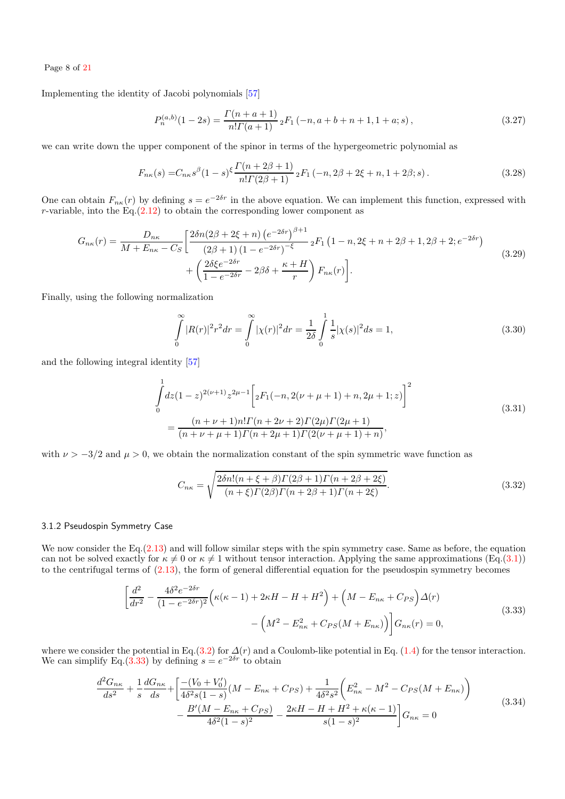Page 8 of [21](#page-20-39)

<span id="page-7-2"></span>Implementing the identity of Jacobi polynomials [\[57\]](#page-20-57)

$$
P_n^{(a,b)}(1-2s) = \frac{\Gamma(n+a+1)}{n!\Gamma(a+1)} \, {}_2F_1(-n,a+b+n+1,1+a;s) \,, \tag{3.27}
$$

we can write down the upper component of the spinor in terms of the hypergeometric polynomial as

$$
F_{n\kappa}(s) = C_{n\kappa}s^{\beta}(1-s)^{\xi}\frac{\Gamma(n+2\beta+1)}{n!\Gamma(2\beta+1)}\,_{2}F_{1}\left(-n,2\beta+2\xi+n,1+2\beta;s\right). \tag{3.28}
$$

<span id="page-7-5"></span>One can obtain  $F_{n\kappa}(r)$  by defining  $s=e^{-2\delta r}$  in the above equation. We can implement this function, expressed with r-variable, into the  $Eq. (2.12)$  $Eq. (2.12)$  to obtain the corresponding lower component as

<span id="page-7-6"></span>
$$
G_{n\kappa}(r) = \frac{D_{n\kappa}}{M + E_{n\kappa} - C_S} \left[ \frac{2\delta n (2\beta + 2\xi + n) (e^{-2\delta r})^{\beta + 1}}{(2\beta + 1) (1 - e^{-2\delta r})^{-\xi}} 2F_1 (1 - n, 2\xi + n + 2\beta + 1, 2\beta + 2; e^{-2\delta r}) + \left( \frac{2\delta \xi e^{-2\delta r}}{1 - e^{-2\delta r}} - 2\beta \delta + \frac{\kappa + H}{r} \right) F_{n\kappa}(r) \right].
$$
\n(3.29)

Finally, using the following normalization

$$
\int_{0}^{\infty} |R(r)|^{2} r^{2} dr = \int_{0}^{\infty} |\chi(r)|^{2} dr = \frac{1}{2\delta} \int_{0}^{1} \frac{1}{s} |\chi(s)|^{2} ds = 1, \qquad (3.30)
$$

<span id="page-7-3"></span>and the following integral identity [\[57\]](#page-20-57)

$$
\int_{0}^{1} dz (1-z)^{2(\nu+1)} z^{2\mu-1} \left[ {}_{2}F_{1}(-n, 2(\nu+\mu+1)+n, 2\mu+1; z) \right]^{2}
$$
\n
$$
= \frac{(n+\nu+1)n! \Gamma(n+2\nu+2) \Gamma(2\mu) \Gamma(2\mu+1)}{(n+\nu+\mu+1) \Gamma(n+2\mu+1) \Gamma(2(\nu+\mu+1)+n)},
$$
\n(3.31)

<span id="page-7-4"></span>with  $\nu > -3/2$  and  $\mu > 0$ , we obtain the normalization constant of the spin symmetric wave function as

$$
C_{n\kappa} = \sqrt{\frac{2\delta n!(n+\xi+\beta)\Gamma(2\beta+1)\Gamma(n+2\beta+2\xi)}{(n+\xi)\Gamma(2\beta)\Gamma(n+2\beta+1)\Gamma(n+2\xi)}}.
$$
\n(3.32)

#### 3.1.2 Pseudospin Symmetry Case

We now consider the Eq. [\(2.13\)](#page-3-7) and will follow similar steps with the spin symmetry case. Same as before, the equation can not be solved exactly for  $\kappa \neq 0$  or  $\kappa \neq 1$  without tensor interaction. Applying the same approximations (Eq.[\(3.1\)](#page-4-3)) to the centrifugal terms of [\(2.13\)](#page-3-7), the form of general differential equation for the pseudospin symmetry becomes

$$
\left[\frac{d^2}{dr^2} - \frac{4\delta^2 e^{-2\delta r}}{(1 - e^{-2\delta r})^2} \left(\kappa(\kappa - 1) + 2\kappa H - H + H^2\right) + \left(M - E_{n\kappa} + C_{PS}\right) \Delta(r) - \left(M^2 - E_{n\kappa}^2 + C_{PS}(M + E_{n\kappa})\right)\right] G_{n\kappa}(r) = 0,
$$
\n(3.33)

<span id="page-7-1"></span><span id="page-7-0"></span>where we consider the potential in Eq.[\(3.2\)](#page-4-2) for  $\Delta(r)$  and a Coulomb-like potential in Eq. [\(1.4\)](#page-1-1) for the tensor interaction. We can simplify Eq.[\(3.33\)](#page-7-0) by defining  $s = e^{-2\delta r}$  to obtain

$$
\frac{d^2G_{n\kappa}}{ds^2} + \frac{1}{s}\frac{dG_{n\kappa}}{ds} + \left[\frac{-(V_0 + V_0')}{4\delta^2 s (1 - s)}(M - E_{n\kappa} + C_{PS}) + \frac{1}{4\delta^2 s^2} \left(E_{n\kappa}^2 - M^2 - C_{PS}(M + E_{n\kappa})\right) - \frac{B'(M - E_{n\kappa} + C_{PS})}{4\delta^2 (1 - s)^2} - \frac{2\kappa H - H + H^2 + \kappa(\kappa - 1)}{s(1 - s)^2}\right]G_{n\kappa} = 0
$$
\n(3.34)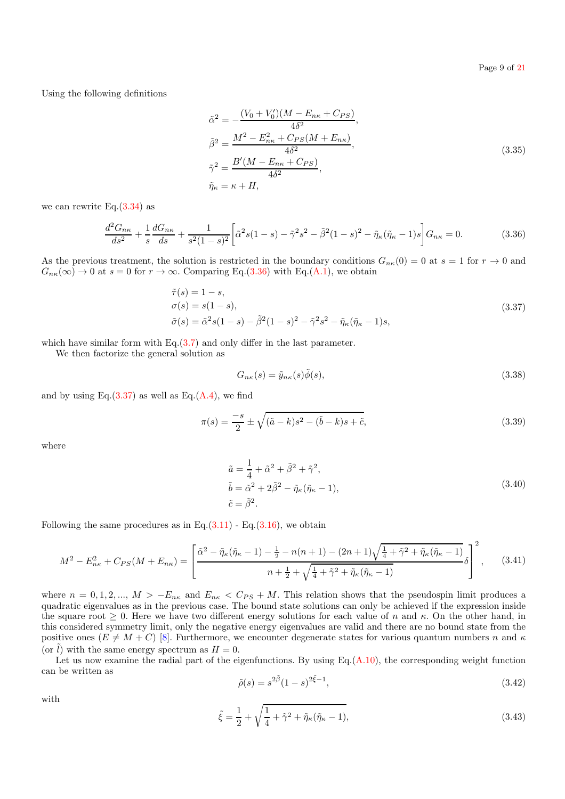<span id="page-8-3"></span>Using the following definitions

$$
\tilde{\alpha}^{2} = -\frac{(V_{0} + V'_{0})(M - E_{n\kappa} + C_{PS})}{4\delta^{2}}, \n\tilde{\beta}^{2} = \frac{M^{2} - E_{n\kappa}^{2} + C_{PS}(M + E_{n\kappa})}{4\delta^{2}}, \n\tilde{\gamma}^{2} = \frac{B'(M - E_{n\kappa} + C_{PS})}{4\delta^{2}}, \n\tilde{\eta}_{\kappa} = \kappa + H,
$$
\n(3.35)

we can rewrite Eq.[\(3.34\)](#page-7-1) as

$$
\frac{d^2G_{n\kappa}}{ds^2} + \frac{1}{s}\frac{dG_{n\kappa}}{ds} + \frac{1}{s^2(1-s)^2} \left[ \tilde{\alpha}^2 s (1-s) - \tilde{\gamma}^2 s^2 - \tilde{\beta}^2 (1-s)^2 - \tilde{\eta}_{\kappa} (\tilde{\eta}_{\kappa} - 1) s \right] G_{n\kappa} = 0.
$$
 (3.36)

<span id="page-8-0"></span>As the previous treatment, the solution is restricted in the boundary conditions  $G_{n\kappa}(0) = 0$  at  $s = 1$  for  $r \to 0$  and  $G_{n\kappa}(\infty) \to 0$  at  $s = 0$  for  $r \to \infty$ . Comparing Eq.[\(3.36\)](#page-8-0) with Eq.[\(A.1\)](#page-19-1), we obtain

<span id="page-8-1"></span>
$$
\tilde{\tau}(s) = 1 - s,\n\sigma(s) = s(1 - s),\n\tilde{\sigma}(s) = \tilde{\alpha}^2 s (1 - s) - \tilde{\beta}^2 (1 - s)^2 - \tilde{\gamma}^2 s^2 - \tilde{\eta}_{\kappa} (\tilde{\eta}_{\kappa} - 1)s,
$$
\n(3.37)

which have similar form with Eq. $(3.7)$  and only differ in the last parameter.

We then factorize the general solution as

$$
G_{n\kappa}(s) = \tilde{y}_{n\kappa}(s)\tilde{\phi}(s),\tag{3.38}
$$

and by using Eq. $(3.37)$  as well as Eq. $(A.4)$ , we find

$$
\pi(s) = \frac{-s}{2} \pm \sqrt{(\tilde{a} - k)s^2 - (\tilde{b} - k)s + \tilde{c}},
$$
\n(3.39)

where

$$
\begin{aligned}\n\tilde{a} &= \frac{1}{4} + \tilde{\alpha}^2 + \tilde{\beta}^2 + \tilde{\gamma}^2, \\
\tilde{b} &= \tilde{\alpha}^2 + 2\tilde{\beta}^2 - \tilde{\eta}_{\kappa}(\tilde{\eta}_{\kappa} - 1), \\
\tilde{c} &= \tilde{\beta}^2.\n\end{aligned} \tag{3.40}
$$

Following the same procedures as in Eq. $(3.11)$  - Eq. $(3.16)$ , we obtain

<span id="page-8-2"></span>
$$
M^{2} - E_{n\kappa}^{2} + C_{PS}(M + E_{n\kappa}) = \left[ \frac{\tilde{\alpha}^{2} - \tilde{\eta}_{\kappa}(\tilde{\eta}_{\kappa} - 1) - \frac{1}{2} - n(n+1) - (2n+1)\sqrt{\frac{1}{4} + \tilde{\gamma}^{2} + \tilde{\eta}_{\kappa}(\tilde{\eta}_{\kappa} - 1)}}{n + \frac{1}{2} + \sqrt{\frac{1}{4} + \tilde{\gamma}^{2} + \tilde{\eta}_{\kappa}(\tilde{\eta}_{\kappa} - 1)}} \delta \right]^{2}, \quad (3.41)
$$

where  $n = 0, 1, 2, ..., M > -E_{n\kappa}$  and  $E_{n\kappa} < C_{PS} + M$ . This relation shows that the pseudospin limit produces a quadratic eigenvalues as in the previous case. The bound state solutions can only be achieved if the expression inside the square root  $\geq 0$ . Here we have two different energy solutions for each value of n and  $\kappa$ . On the other hand, in this considered symmetry limit, only the negative energy eigenvalues are valid and there are no bound state from the positive ones  $(E \neq M + C)$  [\[8\]](#page-20-7). Furthermore, we encounter degenerate states for various quantum numbers n and  $\kappa$ (or  $\tilde{l}$ ) with the same energy spectrum as  $H = 0$ .

Let us now examine the radial part of the eigenfunctions. By using  $Eq.(A.10)$  $Eq.(A.10)$ , the corresponding weight function can be written as

$$
\tilde{\rho}(s) = s^{2\tilde{\beta}}(1-s)^{2\tilde{\xi}-1},\tag{3.42}
$$

with

$$
\tilde{\xi} = \frac{1}{2} + \sqrt{\frac{1}{4} + \tilde{\gamma}^2 + \tilde{\eta}_{\kappa}(\tilde{\eta}_{\kappa} - 1)},
$$
\n(3.43)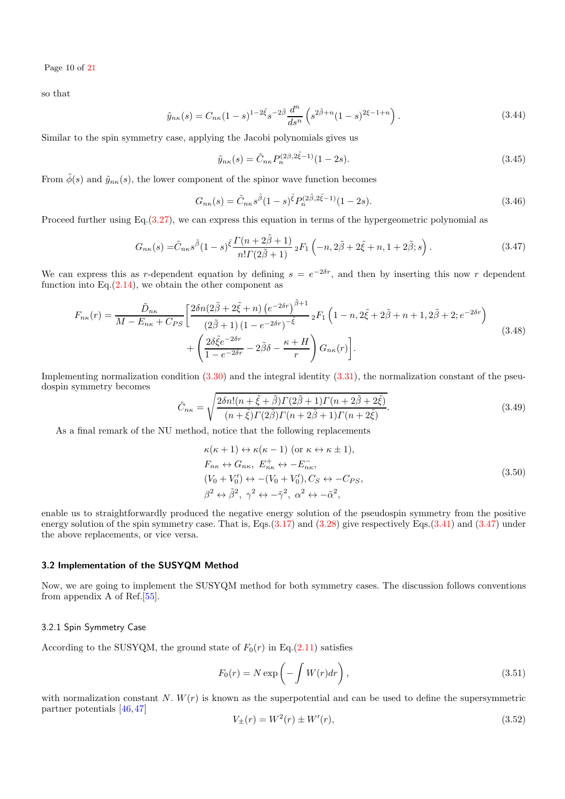Page 10 of [21](#page-20-39)

so that

$$
\tilde{y}_{n\kappa}(s) = C_{n\kappa}(1-s)^{1-2\tilde{\xi}}s^{-2\tilde{\beta}}\frac{d^n}{ds^n}\left(s^{2\tilde{\beta}+n}(1-s)^{2\xi-1+n}\right).
$$
\n(3.44)

Similar to the spin symmetry case, applying the Jacobi polynomials gives us

$$
\tilde{y}_{n\kappa}(s) = \tilde{C}_{n\kappa} P_n^{(2\beta, 2\tilde{\xi}-1)} (1-2s). \tag{3.45}
$$

From  $\tilde{\phi}(s)$  and  $\tilde{y}_{n\kappa}(s)$ , the lower component of the spinor wave function becomes

$$
G_{n\kappa}(s) = \tilde{C}_{n\kappa}s^{\tilde{\beta}}(1-s)^{\tilde{\xi}}P_n^{(2\tilde{\beta},2\tilde{\xi}-1)}(1-2s).
$$
 (3.46)

Proceed further using  $Eq.(3.27)$  $Eq.(3.27)$ , we can express this equation in terms of the hypergeometric polynomial as

$$
G_{n\kappa}(s) = \tilde{C}_{n\kappa}s^{\tilde{\beta}}(1-s)^{\tilde{\xi}}\frac{\Gamma(n+2\tilde{\beta}+1)}{n!\Gamma(2\tilde{\beta}+1)}\,{}_2F_1\left(-n,2\tilde{\beta}+2\tilde{\xi}+n,1+2\tilde{\beta};s\right). \tag{3.47}
$$

<span id="page-9-1"></span>We can express this as r-dependent equation by defining  $s = e^{-2\delta r}$ , and then by inserting this now r dependent function into  $Eq.(2.14)$  $Eq.(2.14)$ , we obtain the other component as

<span id="page-9-3"></span>
$$
F_{n\kappa}(r) = \frac{\tilde{D}_{n\kappa}}{M - E_{n\kappa} + C_{PS}} \left[ \frac{2\delta n (2\tilde{\beta} + 2\tilde{\xi} + n) (e^{-2\delta r})^{\tilde{\beta}+1}}{(2\tilde{\beta} + 1) (1 - e^{-2\delta r})^{-\tilde{\xi}}} {}_2F_1 \left( 1 - n, 2\tilde{\xi} + 2\tilde{\beta} + n + 1, 2\tilde{\beta} + 2; e^{-2\delta r} \right) + \left( \frac{2\delta \tilde{\xi} e^{-2\delta r}}{1 - e^{-2\delta r}} - 2\tilde{\beta}\delta - \frac{\kappa + H}{r} \right) G_{n\kappa}(r) \right].
$$
\n(3.48)

Implementing normalization condition [\(3.30\)](#page-7-3) and the integral identity [\(3.31\)](#page-7-4), the normalization constant of the pseudospin symmetry becomes

$$
\tilde{C}_{n\kappa} = \sqrt{\frac{2\delta n!(n+\tilde{\xi}+\tilde{\beta})\Gamma(2\tilde{\beta}+1)\Gamma(n+2\tilde{\beta}+2\tilde{\xi})}{(n+\tilde{\xi})\Gamma(2\tilde{\beta})\Gamma(n+2\tilde{\beta}+1)\Gamma(n+2\tilde{\xi})}}.
$$
\n(3.49)

As a final remark of the NU method, notice that the following replacements

$$
\kappa(\kappa+1) \leftrightarrow \kappa(\kappa-1) \text{ (or } \kappa \leftrightarrow \kappa \pm 1),
$$
  
\n
$$
F_{n\kappa} \leftrightarrow G_{n\kappa}, E_{n\kappa}^+ \leftrightarrow -E_{n\kappa}^-,
$$
  
\n
$$
(V_0 + V'_0) \leftrightarrow -(V_0 + V'_0), C_S \leftrightarrow -C_{PS},
$$
  
\n
$$
\beta^2 \leftrightarrow \tilde{\beta}^2, \ \gamma^2 \leftrightarrow -\tilde{\gamma}^2, \ \alpha^2 \leftrightarrow -\tilde{\alpha}^2,
$$
\n(3.50)

enable us to straightforwardly produced the negative energy solution of the pseudospin symmetry from the positive energy solution of the spin symmetry case. That is, Eqs.[\(3.17\)](#page-6-5) and [\(3.28\)](#page-7-5) give respectively Eqs.[\(3.41\)](#page-8-2) and [\(3.47\)](#page-9-1) under the above replacements, or vice versa.

#### <span id="page-9-0"></span>3.2 Implementation of the SUSYQM Method

Now, we are going to implement the SUSYQM method for both symmetry cases. The discussion follows conventions from appendix A of Ref.[\[55\]](#page-20-55).

## 3.2.1 Spin Symmetry Case

According to the SUSYQM, the ground state of  $F_0(r)$  in Eq.[\(2.11\)](#page-3-5) satisfies

$$
F_0(r) = N \exp\left(-\int W(r)dr\right),\tag{3.51}
$$

with normalization constant N.  $W(r)$  is known as the superpotential and can be used to define the supersymmetric partner potentials [\[46,](#page-20-46)[47\]](#page-20-47)

<span id="page-9-2"></span>
$$
V_{\pm}(r) = W^2(r) \pm W'(r),\tag{3.52}
$$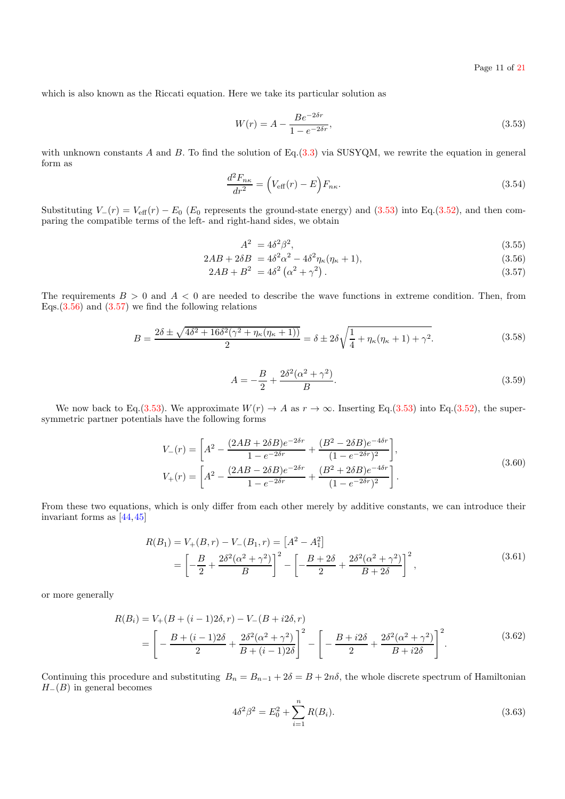which is also known as the Riccati equation. Here we take its particular solution as

<span id="page-10-0"></span>
$$
W(r) = A - \frac{Be^{-2\delta r}}{1 - e^{-2\delta r}},
$$
\n(3.53)

with unknown constants A and B. To find the solution of Eq. $(3.3)$  via SUSYQM, we rewrite the equation in general form as

$$
\frac{d^2 F_{n\kappa}}{dr^2} = \left(V_{\text{eff}}(r) - E\right) F_{n\kappa}.\tag{3.54}
$$

Substituting  $V_-(r) = V_{\text{eff}}(r) - E_0$  (E<sub>0</sub> represents the ground-state energy) and [\(3.53\)](#page-10-0) into Eq.[\(3.52\)](#page-9-2), and then comparing the compatible terms of the left- and right-hand sides, we obtain

<span id="page-10-1"></span>
$$
A^2 = 4\delta^2 \beta^2,\tag{3.55}
$$

$$
2AB + 2\delta B = 4\delta^2 \alpha^2 - 4\delta^2 \eta_{\kappa} (\eta_{\kappa} + 1), \tag{3.56}
$$

$$
2AB + B^2 = 4\delta^2 \left(\alpha^2 + \gamma^2\right). \tag{3.57}
$$

<span id="page-10-2"></span>The requirements  $B > 0$  and  $A < 0$  are needed to describe the wave functions in extreme condition. Then, from Eqs. $(3.56)$  and  $(3.57)$  we find the following relations

$$
B = \frac{2\delta \pm \sqrt{4\delta^2 + 16\delta^2(\gamma^2 + \eta_\kappa(\eta_\kappa + 1))}}{2} = \delta \pm 2\delta\sqrt{\frac{1}{4} + \eta_\kappa(\eta_\kappa + 1) + \gamma^2}.
$$
 (3.58)

$$
A = -\frac{B}{2} + \frac{2\delta^2(\alpha^2 + \gamma^2)}{B}.
$$
\n(3.59)

We now back to Eq.[\(3.53\)](#page-10-0). We approximate  $W(r) \to A$  as  $r \to \infty$ . Inserting Eq.(3.53) into Eq.[\(3.52\)](#page-9-2), the supersymmetric partner potentials have the following forms

$$
V_{-}(r) = \left[ A^{2} - \frac{(2AB + 2\delta B)e^{-2\delta r}}{1 - e^{-2\delta r}} + \frac{(B^{2} - 2\delta B)e^{-4\delta r}}{(1 - e^{-2\delta r})^{2}} \right],
$$
  
\n
$$
V_{+}(r) = \left[ A^{2} - \frac{(2AB - 2\delta B)e^{-2\delta r}}{1 - e^{-2\delta r}} + \frac{(B^{2} + 2\delta B)e^{-4\delta r}}{(1 - e^{-2\delta r})^{2}} \right].
$$
\n(3.60)

From these two equations, which is only differ from each other merely by additive constants, we can introduce their invariant forms as [\[44,](#page-20-44)[45\]](#page-20-45)

$$
R(B_1) = V_+(B, r) - V_-(B_1, r) = [A^2 - A_1^2]
$$
  
=  $\left[ -\frac{B}{2} + \frac{2\delta^2(\alpha^2 + \gamma^2)}{B} \right]^2 - \left[ -\frac{B + 2\delta}{2} + \frac{2\delta^2(\alpha^2 + \gamma^2)}{B + 2\delta} \right]^2$ , (3.61)

or more generally

$$
R(B_i) = V_+(B + (i - 1)2\delta, r) - V_-(B + i2\delta, r)
$$
  
=  $\left[ -\frac{B + (i - 1)2\delta}{2} + \frac{2\delta^2(\alpha^2 + \gamma^2)}{B + (i - 1)2\delta} \right]^2 - \left[ -\frac{B + i2\delta}{2} + \frac{2\delta^2(\alpha^2 + \gamma^2)}{B + i2\delta} \right]^2.$  (3.62)

Continuing this procedure and substituting  $B_n = B_{n-1} + 2\delta = B + 2n\delta$ , the whole discrete spectrum of Hamiltonian  $H_-(B)$  in general becomes

$$
4\delta^2 \beta^2 = E_0^2 + \sum_{i=1}^n R(B_i). \tag{3.63}
$$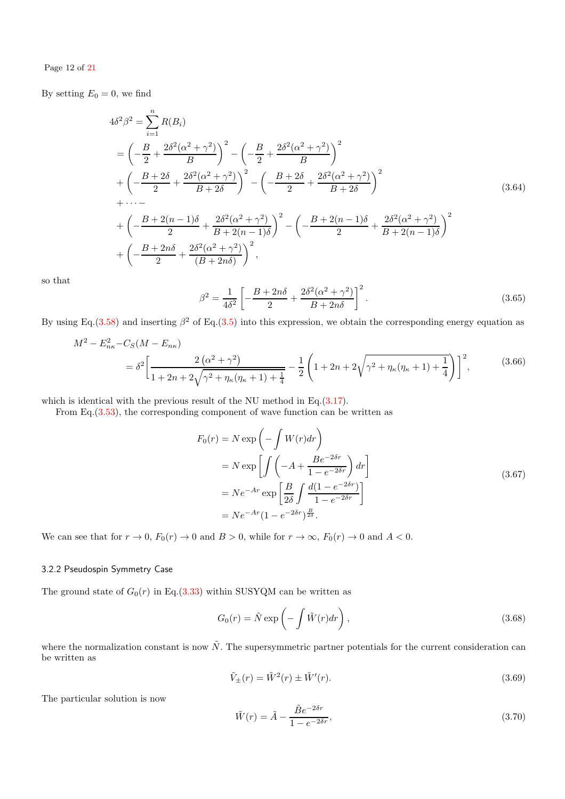## Page 12 of [21](#page-20-39)

By setting  $E_0 = 0$ , we find

$$
4\delta^{2}\beta^{2} = \sum_{i=1}^{n} R(B_{i})
$$
  
=  $\left(-\frac{B}{2} + \frac{2\delta^{2}(\alpha^{2} + \gamma^{2})}{B}\right)^{2} - \left(-\frac{B}{2} + \frac{2\delta^{2}(\alpha^{2} + \gamma^{2})}{B}\right)^{2}$   
+  $\left(-\frac{B + 2\delta}{2} + \frac{2\delta^{2}(\alpha^{2} + \gamma^{2})}{B + 2\delta}\right)^{2} - \left(-\frac{B + 2\delta}{2} + \frac{2\delta^{2}(\alpha^{2} + \gamma^{2})}{B + 2\delta}\right)^{2}$   
+  $\cdots$   
+  $\left(-\frac{B + 2(n - 1)\delta}{2} + \frac{2\delta^{2}(\alpha^{2} + \gamma^{2})}{B + 2(n - 1)\delta}\right)^{2} - \left(-\frac{B + 2(n - 1)\delta}{2} + \frac{2\delta^{2}(\alpha^{2} + \gamma^{2})}{B + 2(n - 1)\delta}\right)^{2}$   
+  $\left(-\frac{B + 2n\delta}{2} + \frac{2\delta^{2}(\alpha^{2} + \gamma^{2})}{(B + 2n\delta)}\right)^{2}$ , (3.64)

so that

$$
\beta^2 = \frac{1}{4\delta^2} \left[ -\frac{B + 2n\delta}{2} + \frac{2\delta^2(\alpha^2 + \gamma^2)}{B + 2n\delta} \right]^2.
$$
 (3.65)

By using Eq.[\(3.58\)](#page-10-2) and inserting  $\beta^2$  of Eq.[\(3.5\)](#page-5-5) into this expression, we obtain the corresponding energy equation as

$$
M^{2} - E_{n\kappa}^{2} - C_{S}(M - E_{n\kappa})
$$
  
=  $\delta^{2} \left[ \frac{2(\alpha^{2} + \gamma^{2})}{1 + 2n + 2\sqrt{\gamma^{2} + \eta_{\kappa}(\eta_{\kappa} + 1) + \frac{1}{4}}} - \frac{1}{2} \left( 1 + 2n + 2\sqrt{\gamma^{2} + \eta_{\kappa}(\eta_{\kappa} + 1) + \frac{1}{4}} \right) \right]^{2},$  (3.66)

which is identical with the previous result of the NU method in Eq.[\(3.17\)](#page-6-5).

From Eq.[\(3.53\)](#page-10-0), the corresponding component of wave function can be written as

$$
F_0(r) = N \exp\left(-\int W(r) dr\right)
$$
  
=  $N \exp\left[\int \left(-A + \frac{Be^{-2\delta r}}{1 - e^{-2\delta r}}\right) dr\right]$   
=  $N e^{-Ar} \exp\left[\frac{B}{2\delta} \int \frac{d(1 - e^{-2\delta r})}{1 - e^{-2\delta r}}\right]$   
=  $N e^{-Ar} (1 - e^{-2\delta r})^{\frac{B}{2\delta}}$ . (3.67)

We can see that for  $r \to 0$ ,  $F_0(r) \to 0$  and  $B > 0$ , while for  $r \to \infty$ ,  $F_0(r) \to 0$  and  $A < 0$ .

## 3.2.2 Pseudospin Symmetry Case

The ground state of  $G_0(r)$  in Eq.[\(3.33\)](#page-7-0) within SUSYQM can be written as

$$
G_0(r) = \tilde{N} \exp\left(-\int \tilde{W}(r) dr\right),\qquad(3.68)
$$

where the normalization constant is now  $\tilde{N}$ . The supersymmetric partner potentials for the current consideration can be written as

<span id="page-11-1"></span>
$$
\tilde{V}_{\pm}(r) = \tilde{W}^2(r) \pm \tilde{W}'(r). \tag{3.69}
$$

The particular solution is now

<span id="page-11-0"></span>
$$
\tilde{W}(r) = \tilde{A} - \frac{\tilde{B}e^{-2\delta r}}{1 - e^{-2\delta r}},\tag{3.70}
$$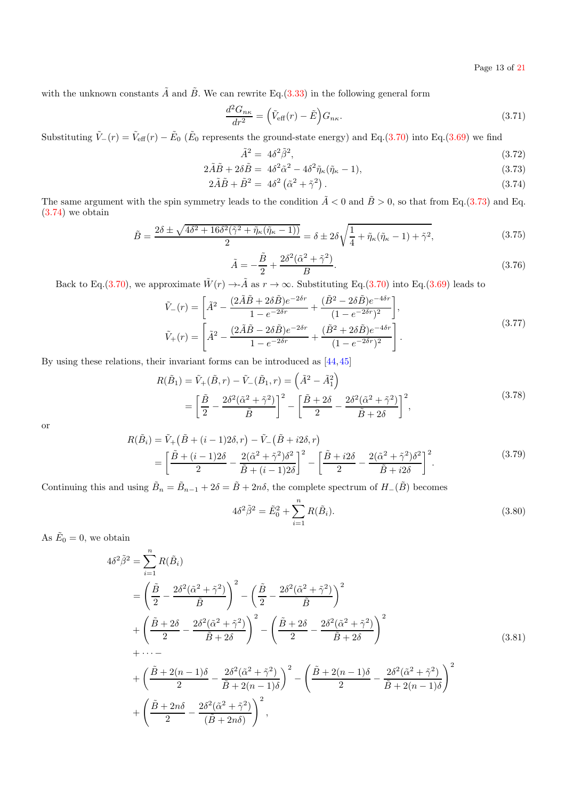Page 13 of [21](#page-20-39)

with the unknown constants  $\tilde{A}$  and  $\tilde{B}$ . We can rewrite Eq.[\(3.33\)](#page-7-0) in the following general form

$$
\frac{d^2 G_{n\kappa}}{dr^2} = \left(\tilde{V}_{\text{eff}}(r) - \tilde{E}\right) G_{n\kappa}.\tag{3.71}
$$

Substituting  $\tilde{V}_-(r) = \tilde{V}_{\text{eff}}(r) - \tilde{E}_0$  ( $\tilde{E}_0$  represents the ground-state energy) and Eq.[\(3.70\)](#page-11-0) into Eq.[\(3.69\)](#page-11-1) we find

<span id="page-12-0"></span>
$$
\tilde{A}^2 = 4\delta^2 \tilde{\beta}^2,\tag{3.72}
$$

$$
2\tilde{A}\tilde{B} + 2\delta\tilde{B} = 4\delta^2\tilde{\alpha}^2 - 4\delta^2\tilde{\eta}_{\kappa}(\tilde{\eta}_{\kappa} - 1),
$$
  
\n
$$
2\tilde{A}\tilde{B} + \tilde{B}^2 = 4\delta^2(\tilde{\alpha}^2 + \tilde{\gamma}^2).
$$
\n(3.73)

$$
2\tilde{A}\tilde{B} + \tilde{B}^2 = 4\delta^2 \left(\tilde{\alpha}^2 + \tilde{\gamma}^2\right). \tag{3.74}
$$

<span id="page-12-1"></span>The same argument with the spin symmetry leads to the condition  $\tilde{A} < 0$  and  $\tilde{B} > 0$ , so that from Eq.[\(3.73\)](#page-12-0) and Eq. [\(3.74\)](#page-12-0) we obtain

$$
\tilde{B} = \frac{2\delta \pm \sqrt{4\delta^2 + 16\delta^2(\tilde{\gamma}^2 + \tilde{\eta}_{\kappa}(\tilde{\eta}_{\kappa} - 1))}}{2} = \delta \pm 2\delta\sqrt{\frac{1}{4} + \tilde{\eta}_{\kappa}(\tilde{\eta}_{\kappa} - 1) + \tilde{\gamma}^2},\tag{3.75}
$$

$$
\tilde{A} = -\frac{\tilde{B}}{2} + \frac{2\delta^2(\tilde{\alpha}^2 + \tilde{\gamma}^2)}{B}.
$$
\n(3.76)

Back to Eq.[\(3.70\)](#page-11-0), we approximate  $\tilde{W}(r) \to -\tilde{A}$  as  $r \to \infty$ . Substituting Eq.(3.70) into Eq.[\(3.69\)](#page-11-1) leads to

$$
\tilde{V}_{-}(r) = \left[ \tilde{A}^{2} - \frac{(2\tilde{A}\tilde{B} + 2\delta\tilde{B})e^{-2\delta r}}{1 - e^{-2\delta r}} + \frac{(\tilde{B}^{2} - 2\delta\tilde{B})e^{-4\delta r}}{(1 - e^{-2\delta r})^{2}} \right],
$$
\n
$$
\tilde{V}_{+}(r) = \left[ \tilde{A}^{2} - \frac{(2\tilde{A}\tilde{B} - 2\delta\tilde{B})e^{-2\delta r}}{1 - e^{-2\delta r}} + \frac{(\tilde{B}^{2} + 2\delta\tilde{B})e^{-4\delta r}}{(1 - e^{-2\delta r})^{2}} \right].
$$
\n(3.77)

By using these relations, their invariant forms can be introduced as [\[44,](#page-20-44)[45\]](#page-20-45)

$$
R(\tilde{B}_1) = \tilde{V}_+(\tilde{B}, r) - \tilde{V}_-(\tilde{B}_1, r) = \left(\tilde{A}^2 - \tilde{A}_1^2\right)
$$
  
=  $\left[\frac{\tilde{B}}{2} - \frac{2\delta^2(\tilde{\alpha}^2 + \tilde{\gamma}^2)}{\tilde{B}}\right]^2 - \left[\frac{\tilde{B} + 2\delta}{2} - \frac{2\delta^2(\tilde{\alpha}^2 + \tilde{\gamma}^2)}{\tilde{B} + 2\delta}\right]^2,$  (3.78)

or

$$
R(\tilde{B}_{i}) = \tilde{V}_{+}(\tilde{B} + (i - 1)2\delta, r) - \tilde{V}_{-}(\tilde{B} + i2\delta, r)
$$
  
= 
$$
\left[\frac{\tilde{B} + (i - 1)2\delta}{2} - \frac{2(\tilde{\alpha}^{2} + \tilde{\gamma}^{2})\delta^{2}}{\tilde{B} + (i - 1)2\delta}\right]^{2} - \left[\frac{\tilde{B} + i2\delta}{2} - \frac{2(\tilde{\alpha}^{2} + \tilde{\gamma}^{2})\delta^{2}}{\tilde{B} + i2\delta}\right]^{2}.
$$
 (3.79)

Continuing this and using  $\tilde{B}_n = \tilde{B}_{n-1} + 2\delta = \tilde{B} + 2n\delta$ , the complete spectrum of  $H_-(\tilde{B})$  becomes

$$
4\delta^2 \tilde{\beta}^2 = \tilde{E}_0^2 + \sum_{i=1}^n R(\tilde{B}_i).
$$
 (3.80)

As  $\tilde{E}_0 = 0$ , we obtain

$$
4\delta^{2}\tilde{\beta}^{2} = \sum_{i=1}^{n} R(\tilde{B}_{i})
$$
  
=  $\left(\frac{\tilde{B}}{2} - \frac{2\delta^{2}(\tilde{\alpha}^{2} + \tilde{\gamma}^{2})}{\tilde{B}}\right)^{2} - \left(\frac{\tilde{B}}{2} - \frac{2\delta^{2}(\tilde{\alpha}^{2} + \tilde{\gamma}^{2})}{\tilde{B}}\right)^{2}$   
+  $\left(\frac{\tilde{B} + 2\delta}{2} - \frac{2\delta^{2}(\tilde{\alpha}^{2} + \tilde{\gamma}^{2})}{\tilde{B} + 2\delta}\right)^{2} - \left(\frac{\tilde{B} + 2\delta}{2} - \frac{2\delta^{2}(\tilde{\alpha}^{2} + \tilde{\gamma}^{2})}{\tilde{B} + 2\delta}\right)^{2}$   
+  $\cdots$   
+  $\left(\frac{\tilde{B} + 2(n - 1)\delta}{2} - \frac{2\delta^{2}(\tilde{\alpha}^{2} + \tilde{\gamma}^{2})}{\tilde{B} + 2(n - 1)\delta}\right)^{2} - \left(\frac{\tilde{B} + 2(n - 1)\delta}{2} - \frac{2\delta^{2}(\tilde{\alpha}^{2} + \tilde{\gamma}^{2})}{\tilde{B} + 2(n - 1)\delta}\right)^{2}$   
+  $\left(\frac{\tilde{B} + 2n\delta}{2} - \frac{2\delta^{2}(\tilde{\alpha}^{2} + \tilde{\gamma}^{2})}{(\tilde{B} + 2n\delta)}\right)^{2}$ , (3.81)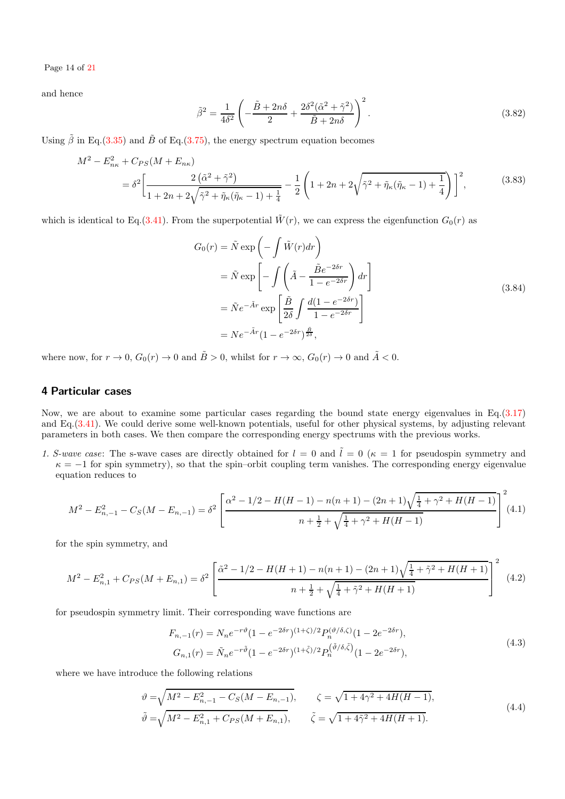Page 14 of [21](#page-20-39)

and hence

$$
\tilde{\beta}^2 = \frac{1}{4\delta^2} \left( -\frac{\tilde{B} + 2n\delta}{2} + \frac{2\delta^2(\tilde{\alpha}^2 + \tilde{\gamma}^2)}{\tilde{B} + 2n\delta} \right)^2.
$$
\n(3.82)

Using  $\tilde{\beta}$  in Eq.[\(3.35\)](#page-8-3) and  $\tilde{B}$  of Eq.[\(3.75\)](#page-12-1), the energy spectrum equation becomes

$$
M^{2} - E_{n\kappa}^{2} + C_{PS}(M + E_{n\kappa})
$$
  
=  $\delta^{2} \left[ \frac{2(\tilde{\alpha}^{2} + \tilde{\gamma}^{2})}{1 + 2n + 2\sqrt{\tilde{\gamma}^{2} + \tilde{\eta}_{\kappa}(\tilde{\eta}_{\kappa} - 1) + \frac{1}{4}}} - \frac{1}{2} \left( 1 + 2n + 2\sqrt{\tilde{\gamma}^{2} + \tilde{\eta}_{\kappa}(\tilde{\eta}_{\kappa} - 1) + \frac{1}{4}} \right) \right]^{2},$  (3.83)

which is identical to Eq.[\(3.41\)](#page-8-2). From the superpotential  $\tilde{W}(r)$ , we can express the eigenfunction  $G_0(r)$  as

$$
G_0(r) = \tilde{N} \exp\left(-\int \tilde{W}(r) dr\right)
$$
  
=  $\tilde{N} \exp\left[-\int \left(\tilde{A} - \frac{\tilde{B}e^{-2\delta r}}{1 - e^{-2\delta r}}\right) dr\right]$   
=  $\tilde{N}e^{-\tilde{A}r} \exp\left[\frac{\tilde{B}}{2\delta} \int \frac{d(1 - e^{-2\delta r})}{1 - e^{-2\delta r}}\right]$   
=  $Ne^{-\tilde{A}r}(1 - e^{-2\delta r})^{\frac{\tilde{B}}{2\delta}},$  (3.84)

where now, for  $r \to 0$ ,  $G_0(r) \to 0$  and  $\tilde{B} > 0$ , whilst for  $r \to \infty$ ,  $G_0(r) \to 0$  and  $\tilde{A} < 0$ .

# <span id="page-13-0"></span>4 Particular cases

Now, we are about to examine some particular cases regarding the bound state energy eigenvalues in Eq. $(3.17)$ and Eq.[\(3.41\)](#page-8-2). We could derive some well-known potentials, useful for other physical systems, by adjusting relevant parameters in both cases. We then compare the corresponding energy spectrums with the previous works.

1. S-wave case: The s-wave cases are directly obtained for  $l = 0$  and  $\tilde{l} = 0$  ( $\kappa = 1$  for pseudospin symmetry and  $\kappa = -1$  for spin symmetry), so that the spin–orbit coupling term vanishes. The corresponding energy eigenvalue equation reduces to

$$
M^{2} - E_{n, -1}^{2} - C_{S}(M - E_{n, -1}) = \delta^{2} \left[ \frac{\alpha^{2} - 1/2 - H(H - 1) - n(n + 1) - (2n + 1)\sqrt{\frac{1}{4} + \gamma^{2} + H(H - 1)}}{n + \frac{1}{2} + \sqrt{\frac{1}{4} + \gamma^{2} + H(H - 1)}} \right]^{2} (4.1)
$$

for the spin symmetry, and

$$
M^{2} - E_{n,1}^{2} + C_{PS}(M + E_{n,1}) = \delta^{2} \left[ \frac{\tilde{\alpha}^{2} - 1/2 - H(H + 1) - n(n+1) - (2n+1)\sqrt{\frac{1}{4} + \tilde{\gamma}^{2} + H(H + 1)}}{n + \frac{1}{2} + \sqrt{\frac{1}{4} + \tilde{\gamma}^{2} + H(H + 1)}} \right]^{2}
$$
(4.2)

for pseudospin symmetry limit. Their corresponding wave functions are

$$
F_{n,-1}(r) = N_n e^{-r\vartheta} (1 - e^{-2\delta r})^{(1+\zeta)/2} P_n^{(\vartheta/\delta,\zeta)} (1 - 2e^{-2\delta r}),
$$
  
\n
$$
G_{n,1}(r) = \tilde{N}_n e^{-r\tilde{\vartheta}} (1 - e^{-2\delta r})^{(1+\tilde{\zeta})/2} P_n^{(\tilde{\vartheta}/\delta,\tilde{\zeta})} (1 - 2e^{-2\delta r}),
$$
\n(4.3)

where we have introduce the following relations

$$
\vartheta = \sqrt{M^2 - E_{n,-1}^2 - C_S(M - E_{n,-1})}, \qquad \zeta = \sqrt{1 + 4\gamma^2 + 4H(H - 1)},
$$
  
\n
$$
\tilde{\vartheta} = \sqrt{M^2 - E_{n,1}^2 + C_{PS}(M + E_{n,1})}, \qquad \tilde{\zeta} = \sqrt{1 + 4\tilde{\gamma}^2 + 4H(H + 1)}.
$$
\n(4.4)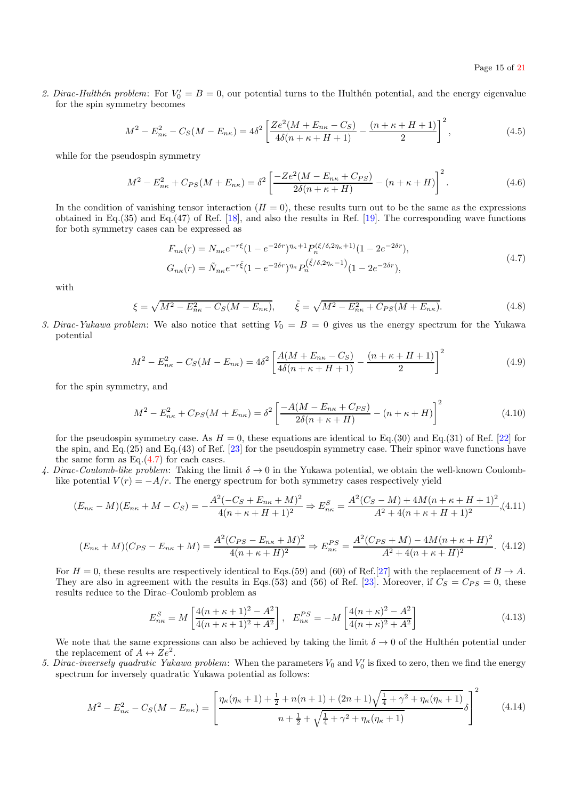2. Dirac-Hulthén problem: For  $V'_0 = B = 0$ , our potential turns to the Hulthén potential, and the energy eigenvalue for the spin symmetry becomes

$$
M^{2} - E_{n\kappa}^{2} - C_{S}(M - E_{n\kappa}) = 4\delta^{2} \left[ \frac{Ze^{2}(M + E_{n\kappa} - C_{S})}{4\delta(n + \kappa + H + 1)} - \frac{(n + \kappa + H + 1)}{2} \right]^{2},
$$
\n(4.5)

while for the pseudospin symmetry

$$
M^{2} - E_{n\kappa}^{2} + C_{PS}(M + E_{n\kappa}) = \delta^{2} \left[ \frac{-Ze^{2}(M - E_{n\kappa} + C_{PS})}{2\delta(n + \kappa + H)} - (n + \kappa + H) \right]^{2}.
$$
 (4.6)

In the condition of vanishing tensor interaction  $(H = 0)$ , these results turn out to be the same as the expressions obtained in Eq.(35) and Eq.(47) of Ref. [\[18\]](#page-20-17), and also the results in Ref. [\[19\]](#page-20-18). The corresponding wave functions for both symmetry cases can be expressed as

<span id="page-14-0"></span>
$$
F_{n\kappa}(r) = N_{n\kappa}e^{-r\xi}(1 - e^{-2\delta r})^{\eta_{\kappa}+1}P_n^{(\xi/\delta,2\eta_{\kappa}+1)}(1 - 2e^{-2\delta r}),
$$
  
\n
$$
G_{n\kappa}(r) = \tilde{N}_{n\kappa}e^{-r\tilde{\xi}}(1 - e^{-2\delta r})^{\eta_{\kappa}}P_n^{(\tilde{\xi}/\delta,2\eta_{\kappa}-1)}(1 - 2e^{-2\delta r}),
$$
\n(4.7)

with

$$
\xi = \sqrt{M^2 - E_{n\kappa}^2 - C_S(M - E_{n\kappa})}, \qquad \tilde{\xi} = \sqrt{M^2 - E_{n\kappa}^2 + C_{PS}(M + E_{n\kappa})}.
$$
\n(4.8)

3. Dirac-Yukawa problem: We also notice that setting  $V_0 = B = 0$  gives us the energy spectrum for the Yukawa potential

$$
M^{2} - E_{n\kappa}^{2} - C_{S}(M - E_{n\kappa}) = 4\delta^{2} \left[ \frac{A(M + E_{n\kappa} - C_{S})}{4\delta(n + \kappa + H + 1)} - \frac{(n + \kappa + H + 1)}{2} \right]^{2}
$$
(4.9)

for the spin symmetry, and

$$
M^{2} - E_{n\kappa}^{2} + C_{PS}(M + E_{n\kappa}) = \delta^{2} \left[ \frac{-A(M - E_{n\kappa} + C_{PS})}{2\delta(n + \kappa + H)} - (n + \kappa + H) \right]^{2}
$$
(4.10)

for the pseudospin symmetry case. As  $H = 0$ , these equations are identical to Eq.(30) and Eq.(31) of Ref. [\[22\]](#page-20-21) for the spin, and Eq.(25) and Eq.(43) of Ref. [\[23\]](#page-20-22) for the pseudospin symmetry case. Their spinor wave functions have the same form as  $Eq. (4.7)$  $Eq. (4.7)$  for each cases.

4. Dirac-Coulomb-like problem: Taking the limit  $\delta \to 0$  in the Yukawa potential, we obtain the well-known Coulomblike potential  $V(r) = -A/r$ . The energy spectrum for both symmetry cases respectively yield

$$
(E_{n\kappa} - M)(E_{n\kappa} + M - C_S) = -\frac{A^2(-C_S + E_{n\kappa} + M)^2}{4(n + \kappa + H + 1)^2} \Rightarrow E_{n\kappa}^S = \frac{A^2(C_S - M) + 4M(n + \kappa + H + 1)^2}{A^2 + 4(n + \kappa + H + 1)^2},
$$
(4.11)

$$
(E_{n\kappa} + M)(C_{PS} - E_{n\kappa} + M) = \frac{A^2(C_{PS} - E_{n\kappa} + M)^2}{4(n + \kappa + H)^2} \Rightarrow E_{n\kappa}^{PS} = \frac{A^2(C_{PS} + M) - 4M(n + \kappa + H)^2}{A^2 + 4(n + \kappa + H)^2}.
$$
 (4.12)

For  $H = 0$ , these results are respectively identical to Eqs.(59) and (60) of Ref.[\[27\]](#page-20-26) with the replacement of  $B \to A$ . They are also in agreement with the results in Eqs.(53) and (56) of Ref. [\[23\]](#page-20-22). Moreover, if  $C_S = C_{PS} = 0$ , these results reduce to the Dirac–Coulomb problem as

$$
E_{n\kappa}^{S} = M \left[ \frac{4(n+\kappa+1)^{2} - A^{2}}{4(n+\kappa+1)^{2} + A^{2}} \right], \quad E_{n\kappa}^{PS} = -M \left[ \frac{4(n+\kappa)^{2} - A^{2}}{4(n+\kappa)^{2} + A^{2}} \right]
$$
(4.13)

We note that the same expressions can also be achieved by taking the limit  $\delta \to 0$  of the Hulthén potential under the replacement of  $A \leftrightarrow Ze^2$ .

5. Dirac-inversely quadratic Yukawa problem: When the parameters  $V_0$  and  $V'_0$  is fixed to zero, then we find the energy spectrum for inversely quadratic Yukawa potential as follows:

$$
M^{2} - E_{n\kappa}^{2} - C_{S}(M - E_{n\kappa}) = \left[ \frac{\eta_{\kappa}(\eta_{\kappa} + 1) + \frac{1}{2} + n(n+1) + (2n+1)\sqrt{\frac{1}{4} + \gamma^{2} + \eta_{\kappa}(\eta_{\kappa} + 1)}}{n + \frac{1}{2} + \sqrt{\frac{1}{4} + \gamma^{2} + \eta_{\kappa}(\eta_{\kappa} + 1)}} \delta \right]^{2}
$$
(4.14)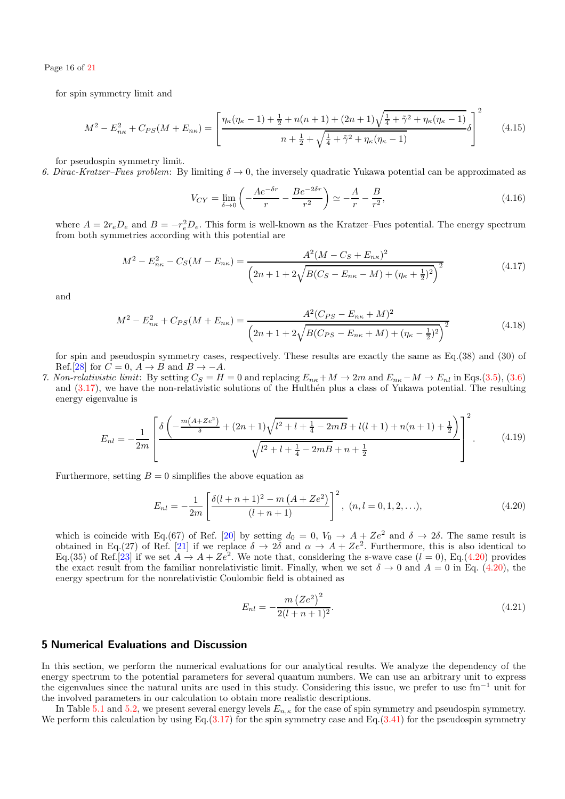Page 16 of [21](#page-20-39)

for spin symmetry limit and

$$
M^{2} - E_{n\kappa}^{2} + C_{PS}(M + E_{n\kappa}) = \left[ \frac{\eta_{\kappa}(\eta_{\kappa} - 1) + \frac{1}{2} + n(n+1) + (2n+1)\sqrt{\frac{1}{4} + \tilde{\gamma}^{2} + \eta_{\kappa}(\eta_{\kappa} - 1)}}{n + \frac{1}{2} + \sqrt{\frac{1}{4} + \tilde{\gamma}^{2} + \eta_{\kappa}(\eta_{\kappa} - 1)}} \delta \right]^{2}
$$
(4.15)

for pseudospin symmetry limit.

6. Dirac-Kratzer–Fues problem: By limiting  $\delta \to 0$ , the inversely quadratic Yukawa potential can be approximated as

$$
V_{CY} = \lim_{\delta \to 0} \left( -\frac{Ae^{-\delta r}}{r} - \frac{Be^{-2\delta r}}{r^2} \right) \simeq -\frac{A}{r} - \frac{B}{r^2},\tag{4.16}
$$

where  $A = 2r_e D_e$  and  $B = -r_e^2 D_e$ . This form is well-known as the Kratzer–Fues potential. The energy spectrum from both symmetries according with this potential are

$$
M^{2} - E_{n\kappa}^{2} - C_{S}(M - E_{n\kappa}) = \frac{A^{2}(M - C_{S} + E_{n\kappa})^{2}}{\left(2n + 1 + 2\sqrt{B(C_{S} - E_{n\kappa} - M) + (\eta_{\kappa} + \frac{1}{2})^{2}}\right)^{2}}
$$
(4.17)

and

$$
M^{2} - E_{n\kappa}^{2} + C_{PS}(M + E_{n\kappa}) = \frac{A^{2}(C_{PS} - E_{n\kappa} + M)^{2}}{\left(2n + 1 + 2\sqrt{B(C_{PS} - E_{n\kappa} + M) + (\eta_{\kappa} - \frac{1}{2})^{2}}\right)^{2}}
$$
(4.18)

for spin and pseudospin symmetry cases, respectively. These results are exactly the same as Eq.(38) and (30) of Ref.[\[28\]](#page-20-27) for  $C = 0$ ,  $A \rightarrow B$  and  $B \rightarrow -A$ .

7. Non-relativistic limit: By setting  $C_S = H = 0$  and replacing  $E_{n\kappa} + M \to 2m$  and  $E_{n\kappa} - M \to E_{nl}$  in Eqs.[\(3.5\)](#page-5-5), [\(3.6\)](#page-5-0) and  $(3.17)$ , we have the non-relativistic solutions of the Hulthen plus a class of Yukawa potential. The resulting energy eigenvalue is

$$
E_{nl} = -\frac{1}{2m} \left[ \frac{\delta \left( -\frac{m(A+Ze^2)}{\delta} + (2n+1)\sqrt{l^2 + l + \frac{1}{4} - 2mB} + l(l+1) + n(n+1) + \frac{1}{2} \right)}{\sqrt{l^2 + l + \frac{1}{4} - 2mB} + n + \frac{1}{2}} \right]^2.
$$
(4.19)

Furthermore, setting  $B = 0$  simplifies the above equation as

<span id="page-15-1"></span>
$$
E_{nl} = -\frac{1}{2m} \left[ \frac{\delta(l+n+1)^2 - m\left(A + Ze^2\right)}{(l+n+1)} \right]^2, \ (n, l = 0, 1, 2, \ldots), \tag{4.20}
$$

which is coincide with Eq.(67) of Ref. [\[20\]](#page-20-19) by setting  $d_0 = 0$ ,  $V_0 \rightarrow A + Ze^2$  and  $\delta \rightarrow 2\delta$ . The same result is obtained in Eq.(27) of Ref. [\[21\]](#page-20-20) if we replace  $\delta \to 2\delta$  and  $\alpha \to A + Ze^2$ . Furthermore, this is also identical to Eq.(35) of Ref.[\[23\]](#page-20-22) if we set  $A \to A + Ze^2$ . We note that, considering the s-wave case  $(l = 0)$ , Eq.[\(4.20\)](#page-15-1) provides the exact result from the familiar nonrelativistic limit. Finally, when we set  $\delta \to 0$  and  $A = 0$  in Eq. [\(4.20\)](#page-15-1), the energy spectrum for the nonrelativistic Coulombic field is obtained as

$$
E_{nl} = -\frac{m\left(Ze^2\right)^2}{2(l+n+1)^2}.\tag{4.21}
$$

# <span id="page-15-0"></span>5 Numerical Evaluations and Discussion

In this section, we perform the numerical evaluations for our analytical results. We analyze the dependency of the energy spectrum to the potential parameters for several quantum numbers. We can use an arbitrary unit to express the eigenvalues since the natural units are used in this study. Considering this issue, we prefer to use fm−<sup>1</sup> unit for the involved parameters in our calculation to obtain more realistic descriptions.

In Table [5.1](#page-16-0) and [5.2,](#page-16-1) we present several energy levels  $E_{n,\kappa}$  for the case of spin symmetry and pseudospin symmetry. We perform this calculation by using  $Eq.(3.17)$  $Eq.(3.17)$  for the spin symmetry case and  $Eq.(3.41)$  $Eq.(3.41)$  for the pseudospin symmetry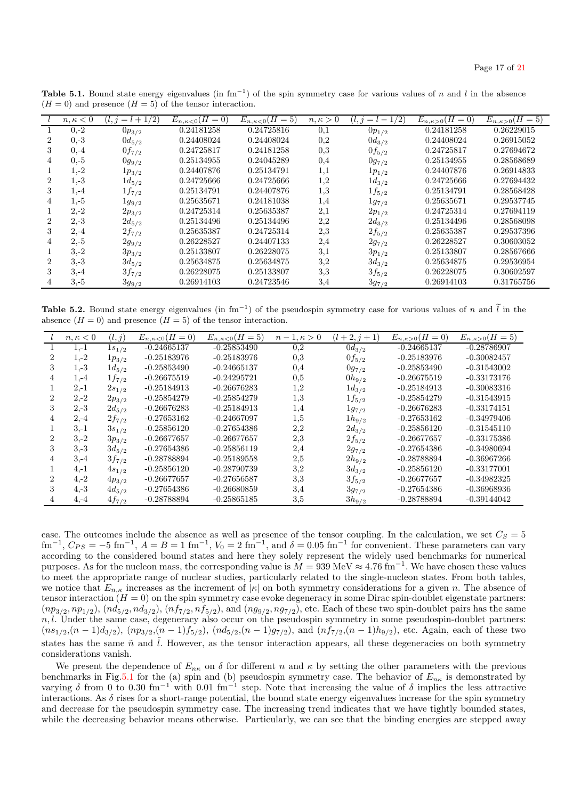|                | $n, \kappa < 0$ | $i = l + 1/2$ | $E_{n,\kappa<0}(H=0)$ | $E_{n,\kappa<0}(H=5)$ | $n, \kappa > 0$ | $= l - 1/2$<br>$l, \eta$ | $E_{n,\kappa>0}(H=0)$ | $E_{n,\kappa>0}(H=5)$ |
|----------------|-----------------|---------------|-----------------------|-----------------------|-----------------|--------------------------|-----------------------|-----------------------|
|                | $0,-2$          | $0p_{3/2}$    | 0.24181258            | 0.24725816            | 0,1             | $0p_{1/2}$               | 0.24181258            | 0.26229015            |
| $\overline{2}$ | $0,-3$          | $0d_{5/2}$    | 0.24408024            | 0.24408024            | 0,2             | $0d_{3/2}$               | 0.24408024            | 0.26915052            |
| 3              | $0,-4$          | $0f_{7/2}$    | 0.24725817            | 0.24181258            | 0,3             | $0f_{5/2}$               | 0.24725817            | 0.27694672            |
| 4              | $0,-5$          | $0g_{9/2}$    | 0.25134955            | 0.24045289            | 0,4             | $0g_{7/2}$               | 0.25134955            | 0.28568689            |
|                | $1,-2$          | $1p_{3/2}$    | 0.24407876            | 0.25134791            | 1,1             | $1p_{1/2}$               | 0.24407876            | 0.26914833            |
| $\overline{2}$ | $1,-3$          | $1d_{5/2}$    | 0.24725666            | 0.24725666            | 1,2             | $1d_{3/2}$               | 0.24725666            | 0.27694432            |
| 3              | $1,-4$          | $1f_{7/2}$    | 0.25134791            | 0.24407876            | 1,3             | $1f_{5/2}$               | 0.25134791            | 0.28568428            |
| 4              | $1,-5$          | $1g_{9/2}$    | 0.25635671            | 0.24181038            | 1,4             | $1g_{7/2}$               | 0.25635671            | 0.29537745            |
|                | $2,-2$          | $2p_{3/2}$    | 0.24725314            | 0.25635387            | 2,1             | $2p_{1/2}$               | 0.24725314            | 0.27694119            |
| $\overline{2}$ | $2,-3$          | $2d_{5/2}$    | 0.25134496            | 0.25134496            | 2,2             | $2d_{3/2}$               | 0.25134496            | 0.28568098            |
| 3              | $2,-4$          | $2f_{7/2}$    | 0.25635387            | 0.24725314            | 2.3             | $2f_{5/2}$               | 0.25635387            | 0.29537396            |
|                | $2,-5$          | $2g_{9/2}$    | 0.26228527            | 0.24407133            | 2,4             | $2g_{7/2}$               | 0.26228527            | 0.30603052            |
|                | $3,-2$          | $3p_{3/2}$    | 0.25133807            | 0.26228075            | 3,1             | $3p_{1/2}$               | 0.25133807            | 0.28567666            |
| $\overline{2}$ | $3 - 3$         | $3d_{5/2}$    | 0.25634875            | 0.25634875            | 3,2             | $3d_{3/2}$               | 0.25634875            | 0.29536954            |
| 3              | $3,-4$          | $3f_{7/2}$    | 0.26228075            | 0.25133807            | 3,3             | $3f_{5/2}$               | 0.26228075            | 0.30602597            |
|                | $3,-5$          | $3g_{9/2}$    | 0.26914103            | 0.24723546            | 3,4             | $3g_{7/2}$               | 0.26914103            | 0.31765756            |

<span id="page-16-0"></span>**Table 5.1.** Bound state energy eigenvalues (in fm<sup>-1</sup>) of the spin symmetry case for various values of n and l in the absence  $(H = 0)$  and presence  $(H = 5)$  of the tensor interaction.

**Table 5.2.** Bound state energy eigenvalues (in fm<sup>-1</sup>) of the pseudospin symmetry case for various values of n and  $\tilde{l}$  in the absence  $(H = 0)$  and presence  $(H = 5)$  of the tensor interaction.

<span id="page-16-1"></span>

|   | $n, \kappa < 0$ | (l, j)     | $E_{n,\kappa < 0} (H = 0)$ | $E_{n,\kappa<0}(H=5)$ | $1, \kappa > 0$<br>$n -$ | $(l+2,j+1)$ | $E_{n,\kappa>0}(H=0)$ | $E_{n,\kappa>0}(H=5)$ |
|---|-----------------|------------|----------------------------|-----------------------|--------------------------|-------------|-----------------------|-----------------------|
|   | $1,-1$          | $1s_{1/2}$ | $-0.24665137$              | $-0.25853490$         | 0.2                      | $0d_{3/2}$  | $-0.24665137$         | $-0.28786907$         |
|   | $1,-2$          | $1p_{3/2}$ | $-0.25183976$              | $-0.25183976$         | 0.3                      | $0f_{5/2}$  | $-0.25183976$         | $-0.30082457$         |
| 3 | $1,-3$          | $1d_{5/2}$ | $-0.25853490$              | $-0.24665137$         | 0,4                      | $0g_{7/2}$  | $-0.25853490$         | $-0.31543002$         |
| 4 | $1,-4$          | $1f_{7/2}$ | $-0.26675519$              | $-0.24295721$         | 0.5                      | $0h_{9/2}$  | $-0.26675519$         | $-0.33173176$         |
|   | $2, -1$         | $2s_{1/2}$ | $-0.25184913$              | $-0.26676283$         | 1,2                      | $1d_{3/2}$  | $-0.25184913$         | $-0.30083316$         |
| 2 | $2,-2$          | $2p_{3/2}$ | $-0.25854279$              | $-0.25854279$         | 1,3                      | $1f_{5/2}$  | $-0.25854279$         | $-0.31543915$         |
| 3 | $2,-3$          | $2d_{5/2}$ | $-0.26676283$              | $-0.25184913$         | 1,4                      | $1g_{7/2}$  | $-0.26676283$         | $-0.33174151$         |
| 4 | $2,-4$          | $2f_{7/2}$ | $-0.27653162$              | $-0.24667097$         | 1,5                      | $1h_{9/2}$  | $-0.27653162$         | $-0.34979406$         |
|   | $3, -1$         | $3s_{1/2}$ | $-0.25856120$              | $-0.27654386$         | 2,2                      | $2d_{3/2}$  | $-0.25856120$         | $-0.31545110$         |
| 2 | $3,-2$          | $3p_{3/2}$ | $-0.26677657$              | $-0.26677657$         | 2,3                      | $2f_{5/2}$  | $-0.26677657$         | $-0.33175386$         |
| 3 | $3,-3$          | $3d_{5/2}$ | $-0.27654386$              | $-0.25856119$         | 2,4                      | $2g_{7/2}$  | $-0.27654386$         | $-0.34980694$         |
| 4 | $3, -4$         | $3f_{7/2}$ | $-0.28788894$              | $-0.25189558$         | 2,5                      | $2h_{9/2}$  | $-0.28788894$         | $-0.36967266$         |
|   | $4, -1$         | $4s_{1/2}$ | $-0.25856120$              | $-0.28790739$         | 3,2                      | $3d_{3/2}$  | $-0.25856120$         | $-0.33177001$         |
| 2 | $4, -2$         | $4p_{3/2}$ | $-0.26677657$              | $-0.27656587$         | 3,3                      | $3f_{5/2}$  | $-0.26677657$         | $-0.34982325$         |
| 3 | $4,-3$          | $4d_{5/2}$ | $-0.27654386$              | $-0.26680859$         | 3,4                      | $3g_{7/2}$  | $-0.27654386$         | $-0.36968936$         |
|   | $4, -4$         | $4f_{7/2}$ | $-0.28788894$              | $-0.25865185$         | 3,5                      | $3h_{9/2}$  | $-0.28788894$         | $-0.39144042$         |

case. The outcomes include the absence as well as presence of the tensor coupling. In the calculation, we set  $C_S = 5$  $\text{fm}^{-1}$ ,  $C_{PS} = -5 \text{ fm}^{-1}$ ,  $A = B = 1 \text{ fm}^{-1}$ ,  $V_0 = 2 \text{ fm}^{-1}$ , and  $\delta = 0.05 \text{ fm}^{-1}$  for convenient. These parameters can vary according to the considered bound states and here they solely represent the widely used benchmarks for numerical purposes. As for the nucleon mass, the corresponding value is  $M = 939 \text{ MeV} \approx 4.76 \text{ fm}^{-1}$ . We have chosen these values to meet the appropriate range of nuclear studies, particularly related to the single-nucleon states. From both tables, we notice that  $E_{n,\kappa}$  increases as the increment of  $|\kappa|$  on both symmetry considerations for a given n. The absence of tensor interaction  $(H = 0)$  on the spin symmetry case evoke degeneracy in some Dirac spin-doublet eigenstate partners:  $(np_{3/2}, np_{1/2})$ ,  $(nd_{5/2}, nd_{3/2})$ ,  $(nf_{7/2}, nf_{5/2})$ , and  $(ng_{9/2}, ng_{7/2})$ , etc. Each of these two spin-doublet pairs has the same  $n, l$ . Under the same case, degeneracy also occur on the pseudospin symmetry in some pseudospin-doublet partners:  $(ns_{1/2},(n-1)d_{3/2})$ ,  $(np_{3/2},(n-1)f_{5/2})$ ,  $(nd_{5/2},(n-1)g_{7/2})$ , and  $(nf_{7/2},(n-1)h_{9/2})$ , etc. Again, each of these two states has the same  $\tilde{n}$  and  $\tilde{l}$ . However, as the tensor interaction appears, all these degeneracies on both symmetry considerations vanish.

We present the dependence of  $E_{n\kappa}$  on  $\delta$  for different n and  $\kappa$  by setting the other parameters with the previous benchmarks in Fig[.5.1](#page-17-0) for the (a) spin and (b) pseudospin symmetry case. The behavior of  $E_{n\kappa}$  is demonstrated by varying δ from 0 to 0.30 fm<sup>-1</sup> with 0.01 fm<sup>-1</sup> step. Note that increasing the value of δ implies the less attractive interactions. As  $\delta$  rises for a short-range potential, the bound state energy eigenvalues increase for the spin symmetry and decrease for the pseudospin symmetry case. The increasing trend indicates that we have tightly bounded states, while the decreasing behavior means otherwise. Particularly, we can see that the binding energies are stepped away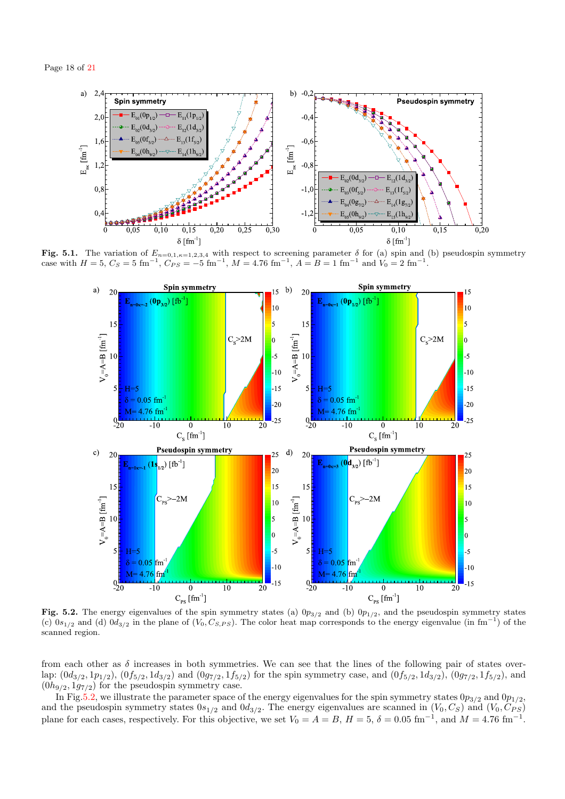

Fig. 5.1. The variation of  $E_{n=0,1,\kappa=1,2,3,4}$  with respect to screening parameter  $\delta$  for (a) spin and (b) pseudospin symmetry case with  $H = 5$ ,  $C_S = 5$  fm<sup>-1</sup>,  $C_{PS} = -5$  fm<sup>-1</sup>,  $M = 4.76$  fm<sup>-1</sup>,  $A = B = 1$  fm<sup>-1</sup> and  $V_0 = 2$  fm<sup>-1</sup>.

<span id="page-17-0"></span>

<span id="page-17-1"></span>Fig. 5.2. The energy eigenvalues of the spin symmetry states (a)  $0p_{3/2}$  and (b)  $0p_{1/2}$ , and the pseudospin symmetry states (c)  $0s_{1/2}$  and (d)  $0d_{3/2}$  in the plane of  $(V_0, C_{S,PS})$ . The color heat map corresponds to the energy eigenvalue (in fm<sup>-1</sup>) of the scanned region.

from each other as  $\delta$  increases in both symmetries. We can see that the lines of the following pair of states overlap:  $(0d_{3/2}, 1p_{1/2})$ ,  $(0f_{5/2}, 1d_{3/2})$  and  $(0g_{7/2}, 1f_{5/2})$  for the spin symmetry case, and  $(0f_{5/2}, 1d_{3/2})$ ,  $(0g_{7/2}, 1f_{5/2})$ , and  $(0h_{9/2}, 1g_{7/2})$  for the pseudospin symmetry case.

In Fig[.5.2,](#page-17-1) we illustrate the parameter space of the energy eigenvalues for the spin symmetry states  $0p_{3/2}$  and  $0p_{1/2}$ , and the pseudospin symmetry states  $0s_{1/2}$  and  $0d_{3/2}$ . The energy eigenvalues are scanned in  $(V_0, C_S)$  and  $(V_0, C_{PS})$ plane for each cases, respectively. For this objective, we set  $V_0 = A = B$ ,  $H = 5$ ,  $\delta = 0.05$  fm<sup>-1</sup>, and  $M = 4.76$  fm<sup>-1</sup>.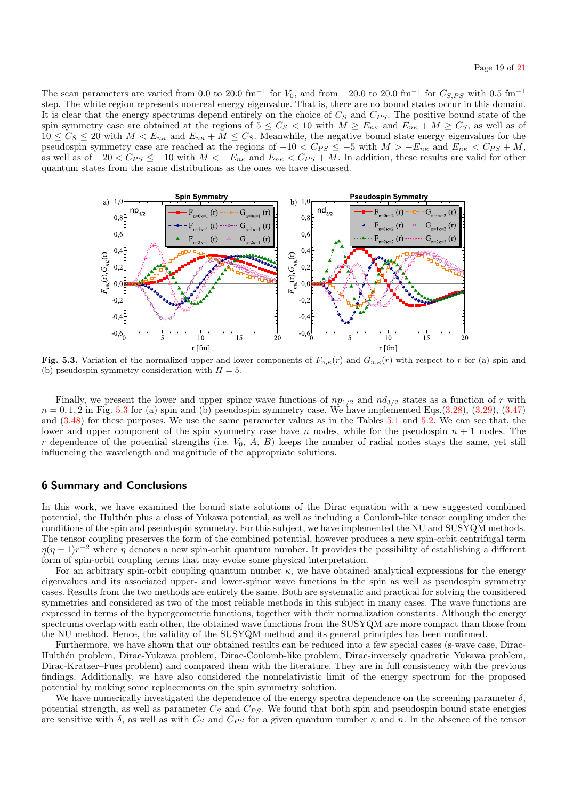The scan parameters are varied from 0.0 to 20.0 fm<sup>-1</sup> for  $V_0$ , and from -20.0 to 20.0 fm<sup>-1</sup> for  $C_{S,PS}$  with 0.5 fm<sup>-1</sup> step. The white region represents non-real energy eigenvalue. That is, there are no bound states occur in this domain. It is clear that the energy spectrums depend entirely on the choice of  $C_S$  and  $C_{PS}$ . The positive bound state of the spin symmetry case are obtained at the regions of  $5 \leq C_S < 10$  with  $M \geq E_{n\kappa}$  and  $E_{n\kappa} + M \geq C_S$ , as well as of  $10 \leq C_S \leq 20$  with  $M < E_{n\kappa}$  and  $E_{n\kappa} + M \leq C_S$ . Meanwhile, the negative bound state energy eigenvalues for the pseudospin symmetry case are reached at the regions of  $-10 < C_{PS} \le -5$  with  $M > -E_{n\kappa}$  and  $E_{n\kappa} < C_{PS} + M$ , as well as of  $-20 < C_{PS} \le -10$  with  $M < -E_{n\kappa}$  and  $E_{n\kappa} < C_{PS} + M$ . In addition, these results are valid for other quantum states from the same distributions as the ones we have discussed.



<span id="page-18-1"></span>Fig. 5.3. Variation of the normalized upper and lower components of  $F_{n,\kappa}(r)$  and  $G_{n,\kappa}(r)$  with respect to r for (a) spin and (b) pseudospin symmetry consideration with  $H = 5$ .

Finally, we present the lower and upper spinor wave functions of  $np_{1/2}$  and  $nd_{3/2}$  states as a function of r with  $n = 0, 1, 2$  in Fig. [5.3](#page-18-1) for (a) spin and (b) pseudospin symmetry case. We have implemented Eqs.[\(3.28\)](#page-7-5), [\(3.29\)](#page-7-6), [\(3.47\)](#page-9-1) and [\(3.48\)](#page-9-3) for these purposes. We use the same parameter values as in the Tables [5.1](#page-16-0) and [5.2.](#page-16-1) We can see that, the lower and upper component of the spin symmetry case have n nodes, while for the pseudospin  $n + 1$  nodes. The  $r$  dependence of the potential strengths (i.e.  $V_0$ ,  $A$ ,  $B$ ) keeps the number of radial nodes stays the same, yet still influencing the wavelength and magnitude of the appropriate solutions.

## <span id="page-18-0"></span>6 Summary and Conclusions

In this work, we have examined the bound state solutions of the Dirac equation with a new suggested combined potential, the Hulthén plus a class of Yukawa potential, as well as including a Coulomb-like tensor coupling under the conditions of the spin and pseudospin symmetry. For this subject, we have implemented the NU and SUSYQM methods. The tensor coupling preserves the form of the combined potential, however produces a new spin-orbit centrifugal term  $\eta(\eta \pm 1)r^{-2}$  where  $\eta$  denotes a new spin-orbit quantum number. It provides the possibility of establishing a different form of spin-orbit coupling terms that may evoke some physical interpretation.

For an arbitrary spin-orbit coupling quantum number  $\kappa$ , we have obtained analytical expressions for the energy eigenvalues and its associated upper- and lower-spinor wave functions in the spin as well as pseudospin symmetry cases. Results from the two methods are entirely the same. Both are systematic and practical for solving the considered symmetries and considered as two of the most reliable methods in this subject in many cases. The wave functions are expressed in terms of the hypergeometric functions, together with their normalization constants. Although the energy spectrums overlap with each other, the obtained wave functions from the SUSYQM are more compact than those from the NU method. Hence, the validity of the SUSYQM method and its general principles has been confirmed.

Furthermore, we have shown that our obtained results can be reduced into a few special cases (s-wave case, Dirac-Hulth´en problem, Dirac-Yukawa problem, Dirac-Coulomb-like problem, Dirac-inversely quadratic Yukawa problem, Dirac-Kratzer–Fues problem) and compared them with the literature. They are in full consistency with the previous findings. Additionally, we have also considered the nonrelativistic limit of the energy spectrum for the proposed potential by making some replacements on the spin symmetry solution.

We have numerically investigated the dependence of the energy spectra dependence on the screening parameter  $\delta$ , potential strength, as well as parameter  $C_S$  and  $C_{PS}$ . We found that both spin and pseudospin bound state energies are sensitive with  $\delta$ , as well as with  $C_S$  and  $C_{PS}$  for a given quantum number  $\kappa$  and n. In the absence of the tensor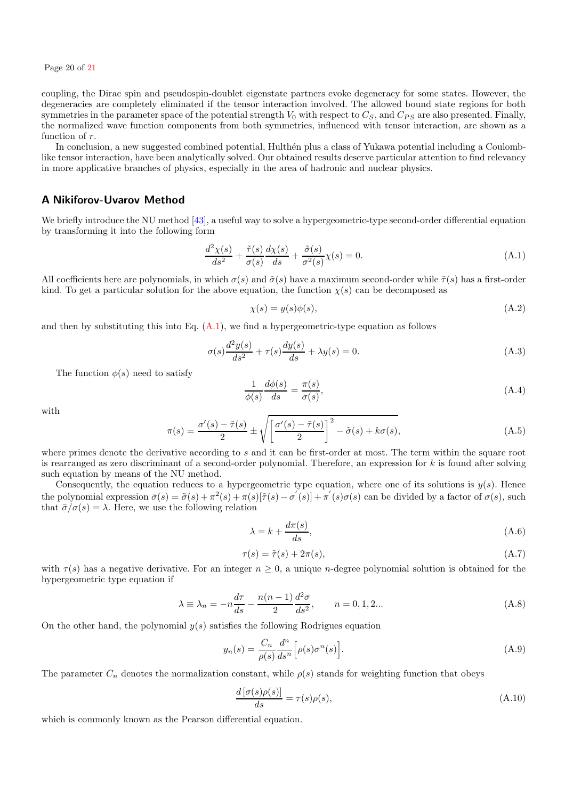Page 20 of [21](#page-20-39)

coupling, the Dirac spin and pseudospin-doublet eigenstate partners evoke degeneracy for some states. However, the degeneracies are completely eliminated if the tensor interaction involved. The allowed bound state regions for both symmetries in the parameter space of the potential strength  $V_0$  with respect to  $C_S$ , and  $C_{PS}$  are also presented. Finally, the normalized wave function components from both symmetries, influenced with tensor interaction, are shown as a function of r.

In conclusion, a new suggested combined potential, Hulthén plus a class of Yukawa potential including a Coulomblike tensor interaction, have been analytically solved. Our obtained results deserve particular attention to find relevancy in more applicative branches of physics, especially in the area of hadronic and nuclear physics.

## <span id="page-19-0"></span>A Nikiforov-Uvarov Method

We briefly introduce the NU method [\[43\]](#page-20-43), a useful way to solve a hypergeometric-type second-order differential equation by transforming it into the following form

<span id="page-19-1"></span>
$$
\frac{d^2\chi(s)}{ds^2} + \frac{\tilde{\tau}(s)}{\sigma(s)}\frac{d\chi(s)}{ds} + \frac{\tilde{\sigma}(s)}{\sigma^2(s)}\chi(s) = 0.
$$
\n(A.1)

All coefficients here are polynomials, in which  $\sigma(s)$  and  $\tilde{\sigma}(s)$  have a maximum second-order while  $\tilde{\tau}(s)$  has a first-order kind. To get a particular solution for the above equation, the function  $\chi(s)$  can be decomposed as

<span id="page-19-2"></span>
$$
\chi(s) = y(s)\phi(s),\tag{A.2}
$$

and then by substituting this into Eq.  $(A.1)$ , we find a hypergeometric-type equation as follows

<span id="page-19-3"></span>
$$
\sigma(s)\frac{d^2y(s)}{ds^2} + \tau(s)\frac{dy(s)}{ds} + \lambda y(s) = 0.
$$
\n(A.3)

The function  $\phi(s)$  need to satisfy

<span id="page-19-4"></span>
$$
\frac{1}{\phi(s)} \frac{d\phi(s)}{ds} = \frac{\pi(s)}{\sigma(s)},\tag{A.4}
$$

with

<span id="page-19-5"></span>
$$
\pi(s) = \frac{\sigma'(s) - \tilde{\tau}(s)}{2} \pm \sqrt{\left[\frac{\sigma'(s) - \tilde{\tau}(s)}{2}\right]^2 - \tilde{\sigma}(s) + k\sigma(s)},\tag{A.5}
$$

where primes denote the derivative according to  $s$  and it can be first-order at most. The term within the square root is rearranged as zero discriminant of a second-order polynomial. Therefore, an expression for  $k$  is found after solving such equation by means of the NU method.

Consequently, the equation reduces to a hypergeometric type equation, where one of its solutions is  $y(s)$ . Hence the polynomial expression  $\bar{\sigma}(s) = \tilde{\sigma}(s) + \pi^2(s) + \pi(s)[\tilde{\tau}(s) - {\sigma'}(s)] + \pi'(s)\sigma(s)$  can be divided by a factor of  $\sigma(s)$ , such that  $\bar{\sigma}/\sigma(s) = \lambda$ . Here, we use the following relation

<span id="page-19-6"></span>
$$
\lambda = k + \frac{d\pi(s)}{ds},\tag{A.6}
$$

$$
\tau(s) = \tilde{\tau}(s) + 2\pi(s),\tag{A.7}
$$

with  $\tau(s)$  has a negative derivative. For an integer  $n \geq 0$ , a unique *n*-degree polynomial solution is obtained for the hypergeometric type equation if

<span id="page-19-7"></span>
$$
\lambda \equiv \lambda_n = -n \frac{d\tau}{ds} - \frac{n(n-1)}{2} \frac{d^2\sigma}{ds^2}, \qquad n = 0, 1, 2... \tag{A.8}
$$

On the other hand, the polynomial  $y(s)$  satisfies the following Rodrigues equation

<span id="page-19-8"></span>
$$
y_n(s) = \frac{C_n}{\rho(s)} \frac{d^n}{ds^n} \Big[ \rho(s) \sigma^n(s) \Big]. \tag{A.9}
$$

The parameter  $C_n$  denotes the normalization constant, while  $\rho(s)$  stands for weighting function that obeys

<span id="page-19-9"></span>
$$
\frac{d\left[\sigma(s)\rho(s)\right]}{ds} = \tau(s)\rho(s),\tag{A.10}
$$

which is commonly known as the Pearson differential equation.